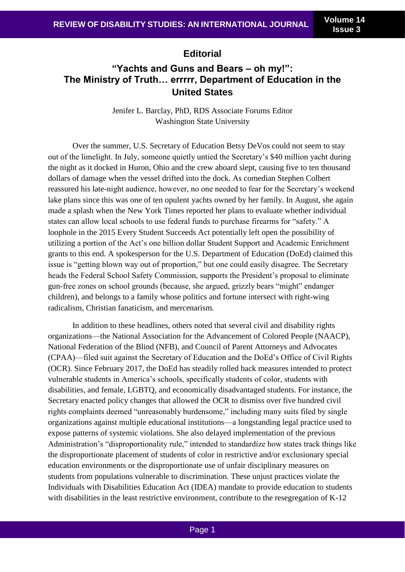# **Editorial**

# **"Yachts and Guns and Bears – oh my!": The Ministry of Truth… errrrr, Department of Education in the United States**

Jenifer L. Barclay, PhD, RDS Associate Forums Editor Washington State University

Over the summer, U.S. Secretary of Education Betsy DeVos could not seem to stay out of the limelight. In July, someone quietly untied the Secretary's \$40 million yacht during the night as it docked in Huron, Ohio and the crew aboard slept, causing five to ten thousand dollars of damage when the vessel drifted into the dock. As comedian Stephen Colbert reassured his late-night audience, however, no one needed to fear for the Secretary's weekend lake plans since this was one of ten opulent yachts owned by her family. In August, she again made a splash when the New York Times reported her plans to evaluate whether individual states can allow local schools to use federal funds to purchase firearms for "safety." A loophole in the 2015 Every Student Succeeds Act potentially left open the possibility of utilizing a portion of the Act's one billion dollar Student Support and Academic Enrichment grants to this end. A spokesperson for the U.S. Department of Education (DoEd) claimed this issue is "getting blown way out of proportion," but one could easily disagree. The Secretary heads the Federal School Safety Commission, supports the President's proposal to eliminate gun-free zones on school grounds (because, she argued, grizzly bears "might" endanger children), and belongs to a family whose politics and fortune intersect with right-wing radicalism, Christian fanaticism, and mercenarism.

In addition to these headlines, others noted that several civil and disability rights organizations—the National Association for the Advancement of Colored People (NAACP), National Federation of the Blind (NFB), and Council of Parent Attorneys and Advocates (CPAA)—filed suit against the Secretary of Education and the DoEd's Office of Civil Rights (OCR). Since February 2017, the DoEd has steadily rolled back measures intended to protect vulnerable students in America's schools, specifically students of color, students with disabilities, and female, LGBTQ, and economically disadvantaged students. For instance, the Secretary enacted policy changes that allowed the OCR to dismiss over five hundred civil rights complaints deemed "unreasonably burdensome," including many suits filed by single organizations against multiple educational institutions—a longstanding legal practice used to expose patterns of systemic violations. She also delayed implementation of the previous Administration's "disproportionality rule," intended to standardize how states track things like the disproportionate placement of students of color in restrictive and/or exclusionary special education environments or the disproportionate use of unfair disciplinary measures on students from populations vulnerable to discrimination. These unjust practices violate the Individuals with Disabilities Education Act (IDEA) mandate to provide education to students with disabilities in the least restrictive environment, contribute to the resegregation of K-12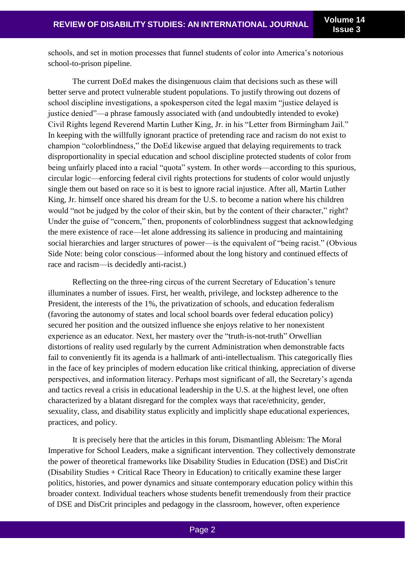schools, and set in motion processes that funnel students of color into America's notorious school-to-prison pipeline.

The current DoEd makes the disingenuous claim that decisions such as these will better serve and protect vulnerable student populations. To justify throwing out dozens of school discipline investigations, a spokesperson cited the legal maxim "justice delayed is justice denied"—a phrase famously associated with (and undoubtedly intended to evoke) Civil Rights legend Reverend Martin Luther King, Jr. in his "Letter from Birmingham Jail." In keeping with the willfully ignorant practice of pretending race and racism do not exist to champion "colorblindness," the DoEd likewise argued that delaying requirements to track disproportionality in special education and school discipline protected students of color from being unfairly placed into a racial "quota" system. In other words—according to this spurious, circular logic—enforcing federal civil rights protections for students of color would unjustly single them out based on race so it is best to ignore racial injustice. After all, Martin Luther King, Jr. himself once shared his dream for the U.S. to become a nation where his children would "not be judged by the color of their skin, but by the content of their character," right? Under the guise of "concern," then, proponents of colorblindness suggest that acknowledging the mere existence of race—let alone addressing its salience in producing and maintaining social hierarchies and larger structures of power—is the equivalent of "being racist." (Obvious Side Note: being color conscious—informed about the long history and continued effects of race and racism—is decidedly anti-racist.)

Reflecting on the three-ring circus of the current Secretary of Education's tenure illuminates a number of issues. First, her wealth, privilege, and lockstep adherence to the President, the interests of the 1%, the privatization of schools, and education federalism (favoring the autonomy of states and local school boards over federal education policy) secured her position and the outsized influence she enjoys relative to her nonexistent experience as an educator. Next, her mastery over the "truth-is-not-truth" Orwellian distortions of reality used regularly by the current Administration when demonstrable facts fail to conveniently fit its agenda is a hallmark of anti-intellectualism. This categorically flies in the face of key principles of modern education like critical thinking, appreciation of diverse perspectives, and information literacy. Perhaps most significant of all, the Secretary's agenda and tactics reveal a crisis in educational leadership in the U.S. at the highest level, one often characterized by a blatant disregard for the complex ways that race/ethnicity, gender, sexuality, class, and disability status explicitly and implicitly shape educational experiences, practices, and policy.

It is precisely here that the articles in this forum, Dismantling Ableism: The Moral Imperative for School Leaders, make a significant intervention. They collectively demonstrate the power of theoretical frameworks like Disability Studies in Education (DSE) and DisCrit (Disability Studies + Critical Race Theory in Education) to critically examine these larger politics, histories, and power dynamics and situate contemporary education policy within this broader context. Individual teachers whose students benefit tremendously from their practice of DSE and DisCrit principles and pedagogy in the classroom, however, often experience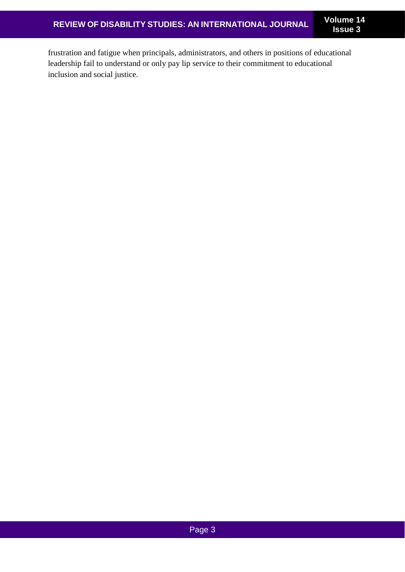frustration and fatigue when principals, administrators, and others in positions of educational leadership fail to understand or only pay lip service to their commitment to educational inclusion and social justice.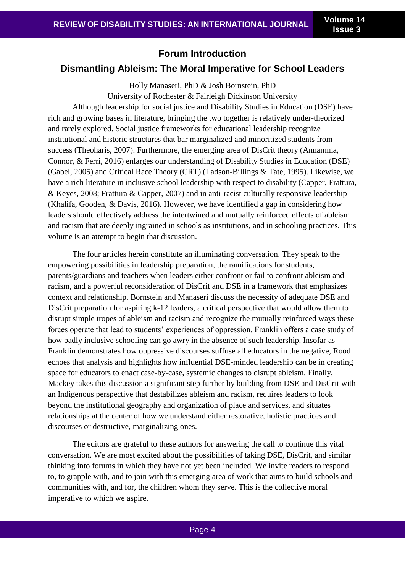**Issue 3**

## **Forum Introduction**

## **Dismantling Ableism: The Moral Imperative for School Leaders**

Holly Manaseri, PhD & Josh Bornstein, PhD University of Rochester & Fairleigh Dickinson University Although leadership for social justice and Disability Studies in Education (DSE) have rich and growing bases in literature, bringing the two together is relatively under-theorized and rarely explored. Social justice frameworks for educational leadership recognize institutional and historic structures that bar marginalized and minoritized students from success (Theoharis, 2007). Furthermore, the emerging area of DisCrit theory (Annamma, Connor, & Ferri, 2016) enlarges our understanding of Disability Studies in Education (DSE) (Gabel, 2005) and Critical Race Theory (CRT) (Ladson-Billings & Tate, 1995). Likewise, we have a rich literature in inclusive school leadership with respect to disability (Capper, Frattura, & Keyes, 2008; Frattura & Capper, 2007) and in anti-racist culturally responsive leadership (Khalifa, Gooden, & Davis, 2016). However, we have identified a gap in considering how leaders should effectively address the intertwined and mutually reinforced effects of ableism and racism that are deeply ingrained in schools as institutions, and in schooling practices. This volume is an attempt to begin that discussion.

The four articles herein constitute an illuminating conversation. They speak to the empowering possibilities in leadership preparation, the ramifications for students, parents/guardians and teachers when leaders either confront or fail to confront ableism and racism, and a powerful reconsideration of DisCrit and DSE in a framework that emphasizes context and relationship. Bornstein and Manaseri discuss the necessity of adequate DSE and DisCrit preparation for aspiring k-12 leaders, a critical perspective that would allow them to disrupt simple tropes of ableism and racism and recognize the mutually reinforced ways these forces operate that lead to students' experiences of oppression. Franklin offers a case study of how badly inclusive schooling can go awry in the absence of such leadership. Insofar as Franklin demonstrates how oppressive discourses suffuse all educators in the negative, Rood echoes that analysis and highlights how influential DSE-minded leadership can be in creating space for educators to enact case-by-case, systemic changes to disrupt ableism. Finally, Mackey takes this discussion a significant step further by building from DSE and DisCrit with an Indigenous perspective that destabilizes ableism and racism, requires leaders to look beyond the institutional geography and organization of place and services, and situates relationships at the center of how we understand either restorative, holistic practices and discourses or destructive, marginalizing ones.

The editors are grateful to these authors for answering the call to continue this vital conversation. We are most excited about the possibilities of taking DSE, DisCrit, and similar thinking into forums in which they have not yet been included. We invite readers to respond to, to grapple with, and to join with this emerging area of work that aims to build schools and communities with, and for, the children whom they serve. This is the collective moral imperative to which we aspire.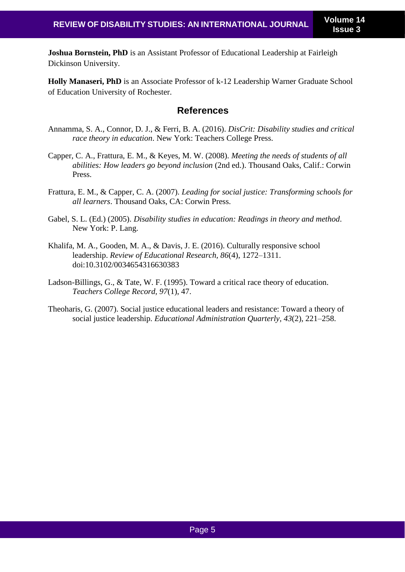**Joshua Bornstein, PhD** is an Assistant Professor of Educational Leadership at Fairleigh Dickinson University.

**Holly Manaseri, PhD** is an Associate Professor of k-12 Leadership Warner Graduate School of Education University of Rochester.

## **References**

- Annamma, S. A., Connor, D. J., & Ferri, B. A. (2016). *DisCrit: Disability studies and critical race theory in education*. New York: Teachers College Press.
- Capper, C. A., Frattura, E. M., & Keyes, M. W. (2008). *Meeting the needs of students of all abilities: How leaders go beyond inclusion* (2nd ed.). Thousand Oaks, Calif.: Corwin Press.
- Frattura, E. M., & Capper, C. A. (2007). *Leading for social justice: Transforming schools for all learners*. Thousand Oaks, CA: Corwin Press.
- Gabel, S. L. (Ed.) (2005). *Disability studies in education: Readings in theory and method*. New York: P. Lang.
- Khalifa, M. A., Gooden, M. A., & Davis, J. E. (2016). Culturally responsive school leadership. *Review of Educational Research, 86*(4), 1272–1311. doi:10.3102/0034654316630383
- Ladson-Billings, G., & Tate, W. F. (1995). Toward a critical race theory of education. *Teachers College Record, 97*(1), 47.
- Theoharis, G. (2007). Social justice educational leaders and resistance: Toward a theory of social justice leadership. *Educational Administration Quarterly, 43*(2), 221–258.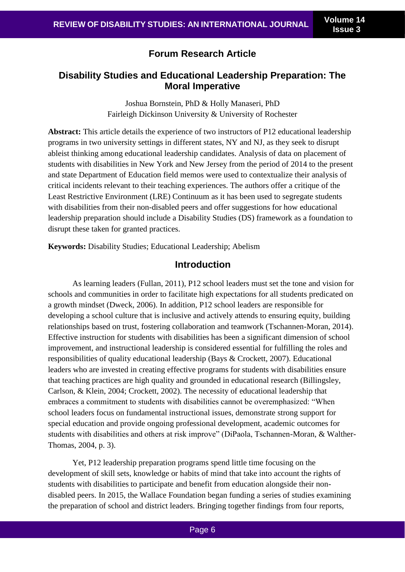# **Forum Research Article**

# **Disability Studies and Educational Leadership Preparation: The Moral Imperative**

Joshua Bornstein, PhD & Holly Manaseri, PhD Fairleigh Dickinson University & University of Rochester

**Abstract:** This article details the experience of two instructors of P12 educational leadership programs in two university settings in different states, NY and NJ, as they seek to disrupt ableist thinking among educational leadership candidates. Analysis of data on placement of students with disabilities in New York and New Jersey from the period of 2014 to the present and state Department of Education field memos were used to contextualize their analysis of critical incidents relevant to their teaching experiences. The authors offer a critique of the Least Restrictive Environment (LRE) Continuum as it has been used to segregate students with disabilities from their non-disabled peers and offer suggestions for how educational leadership preparation should include a Disability Studies (DS) framework as a foundation to disrupt these taken for granted practices.

**Keywords:** Disability Studies; Educational Leadership; Abelism

## **Introduction**

As learning leaders (Fullan, 2011), P12 school leaders must set the tone and vision for schools and communities in order to facilitate high expectations for all students predicated on a growth mindset (Dweck, 2006). In addition, P12 school leaders are responsible for developing a school culture that is inclusive and actively attends to ensuring equity, building relationships based on trust, fostering collaboration and teamwork (Tschannen-Moran, 2014). Effective instruction for students with disabilities has been a significant dimension of school improvement, and instructional leadership is considered essential for fulfilling the roles and responsibilities of quality educational leadership (Bays & Crockett, 2007). Educational leaders who are invested in creating effective programs for students with disabilities ensure that teaching practices are high quality and grounded in educational research (Billingsley, Carlson, & Klein, 2004; Crockett, 2002). The necessity of educational leadership that embraces a commitment to students with disabilities cannot be overemphasized: "When school leaders focus on fundamental instructional issues, demonstrate strong support for special education and provide ongoing professional development, academic outcomes for students with disabilities and others at risk improve" (DiPaola, Tschannen-Moran, & Walther-Thomas, 2004, p. 3).

Yet, P12 leadership preparation programs spend little time focusing on the development of skill sets, knowledge or habits of mind that take into account the rights of students with disabilities to participate and benefit from education alongside their nondisabled peers. In 2015, the Wallace Foundation began funding a series of studies examining the preparation of school and district leaders. Bringing together findings from four reports,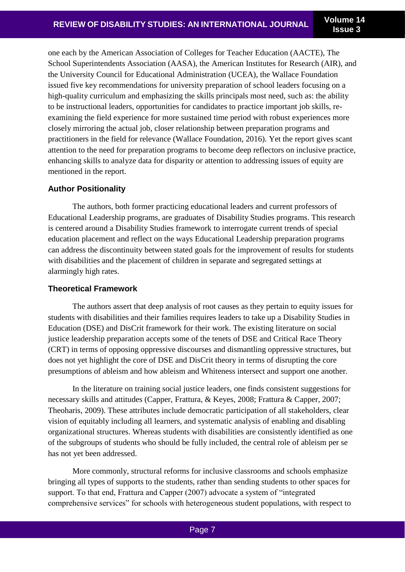one each by the American Association of Colleges for Teacher Education (AACTE), The School Superintendents Association (AASA), the American Institutes for Research (AIR), and the University Council for Educational Administration (UCEA), the Wallace Foundation issued five key recommendations for university preparation of school leaders focusing on a high-quality curriculum and emphasizing the skills principals most need, such as: the ability to be instructional leaders, opportunities for candidates to practice important job skills, reexamining the field experience for more sustained time period with robust experiences more closely mirroring the actual job, closer relationship between preparation programs and practitioners in the field for relevance (Wallace Foundation, 2016). Yet the report gives scant attention to the need for preparation programs to become deep reflectors on inclusive practice, enhancing skills to analyze data for disparity or attention to addressing issues of equity are mentioned in the report.

## **Author Positionality**

The authors, both former practicing educational leaders and current professors of Educational Leadership programs, are graduates of Disability Studies programs. This research is centered around a Disability Studies framework to interrogate current trends of special education placement and reflect on the ways Educational Leadership preparation programs can address the discontinuity between stated goals for the improvement of results for students with disabilities and the placement of children in separate and segregated settings at alarmingly high rates.

## **Theoretical Framework**

The authors assert that deep analysis of root causes as they pertain to equity issues for students with disabilities and their families requires leaders to take up a Disability Studies in Education (DSE) and DisCrit framework for their work. The existing literature on social justice leadership preparation accepts some of the tenets of DSE and Critical Race Theory (CRT) in terms of opposing oppressive discourses and dismantling oppressive structures, but does not yet highlight the core of DSE and DisCrit theory in terms of disrupting the core presumptions of ableism and how ableism and Whiteness intersect and support one another.

In the literature on training social justice leaders, one finds consistent suggestions for necessary skills and attitudes (Capper, Frattura, & Keyes, 2008; Frattura & Capper, 2007; Theoharis, 2009). These attributes include democratic participation of all stakeholders, clear vision of equitably including all learners, and systematic analysis of enabling and disabling organizational structures. Whereas students with disabilities are consistently identified as one of the subgroups of students who should be fully included, the central role of ableism per se has not yet been addressed.

More commonly, structural reforms for inclusive classrooms and schools emphasize bringing all types of supports to the students, rather than sending students to other spaces for support. To that end, Frattura and Capper (2007) advocate a system of "integrated comprehensive services" for schools with heterogeneous student populations, with respect to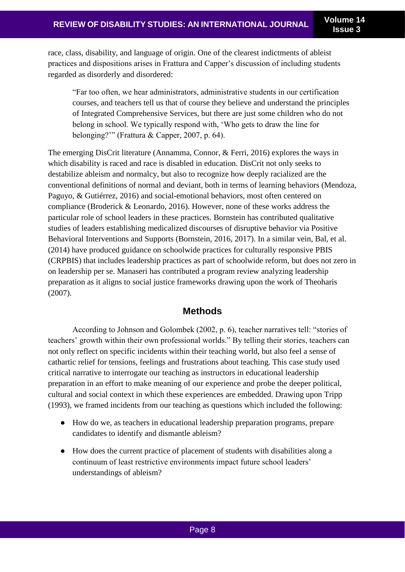race, class, disability, and language of origin. One of the clearest indictments of ableist practices and dispositions arises in Frattura and Capper's discussion of including students regarded as disorderly and disordered:

"Far too often, we hear administrators, administrative students in our certification courses, and teachers tell us that of course they believe and understand the principles of Integrated Comprehensive Services, but there are just some children who do not belong in school. We typically respond with, 'Who gets to draw the line for belonging?'" (Frattura & Capper, 2007, p. 64).

The emerging DisCrit literature (Annamma, Connor, & Ferri, 2016) explores the ways in which disability is raced and race is disabled in education. DisCrit not only seeks to destabilize ableism and normalcy, but also to recognize how deeply racialized are the conventional definitions of normal and deviant, both in terms of learning behaviors (Mendoza, Paguyo, & Gutiérrez, 2016) and social-emotional behaviors, most often centered on compliance (Broderick & Leonardo, 2016). However, none of these works address the particular role of school leaders in these practices. Bornstein has contributed qualitative studies of leaders establishing medicalized discourses of disruptive behavior via Positive Behavioral Interventions and Supports (Bornstein, 2016, 2017). In a similar vein, Bal, et al. (2014) have produced guidance on schoolwide practices for culturally responsive PBIS (CRPBIS) that includes leadership practices as part of schoolwide reform, but does not zero in on leadership per se. Manaseri has contributed a program review analyzing leadership preparation as it aligns to social justice frameworks drawing upon the work of Theoharis (2007).

## **Methods**

According to Johnson and Golombek (2002, p. 6), teacher narratives tell: "stories of teachers' growth within their own professional worlds." By telling their stories, teachers can not only reflect on specific incidents within their teaching world, but also feel a sense of cathartic relief for tensions, feelings and frustrations about teaching. This case study used critical narrative to interrogate our teaching as instructors in educational leadership preparation in an effort to make meaning of our experience and probe the deeper political, cultural and social context in which these experiences are embedded. Drawing upon Tripp (1993), we framed incidents from our teaching as questions which included the following:

- How do we, as teachers in educational leadership preparation programs, prepare candidates to identify and dismantle ableism?
- How does the current practice of placement of students with disabilities along a continuum of least restrictive environments impact future school leaders' understandings of ableism?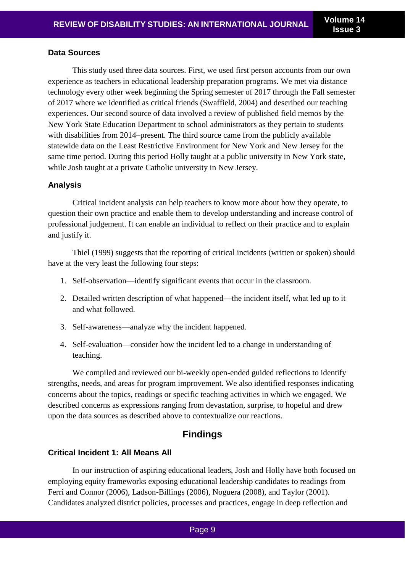#### **Data Sources**

This study used three data sources. First, we used first person accounts from our own experience as teachers in educational leadership preparation programs. We met via distance technology every other week beginning the Spring semester of 2017 through the Fall semester of 2017 where we identified as critical friends (Swaffield, 2004) and described our teaching experiences. Our second source of data involved a review of published field memos by the New York State Education Department to school administrators as they pertain to students with disabilities from 2014–present. The third source came from the publicly available statewide data on the Least Restrictive Environment for New York and New Jersey for the same time period. During this period Holly taught at a public university in New York state, while Josh taught at a private Catholic university in New Jersey.

#### **Analysis**

Critical incident analysis can help teachers to know more about how they operate, to question their own practice and enable them to develop understanding and increase control of professional judgement. It can enable an individual to reflect on their practice and to explain and justify it.

Thiel (1999) suggests that the reporting of critical incidents (written or spoken) should have at the very least the following four steps:

- 1. Self-observation—identify significant events that occur in the classroom.
- 2. Detailed written description of what happened—the incident itself, what led up to it and what followed.
- 3. Self-awareness—analyze why the incident happened.
- 4. Self-evaluation—consider how the incident led to a change in understanding of teaching.

We compiled and reviewed our bi-weekly open-ended guided reflections to identify strengths, needs, and areas for program improvement. We also identified responses indicating concerns about the topics, readings or specific teaching activities in which we engaged. We described concerns as expressions ranging from devastation, surprise, to hopeful and drew upon the data sources as described above to contextualize our reactions.

# **Findings**

## **Critical Incident 1: All Means All**

In our instruction of aspiring educational leaders, Josh and Holly have both focused on employing equity frameworks exposing educational leadership candidates to readings from Ferri and Connor (2006), Ladson-Billings (2006), Noguera (2008), and Taylor (2001). Candidates analyzed district policies, processes and practices, engage in deep reflection and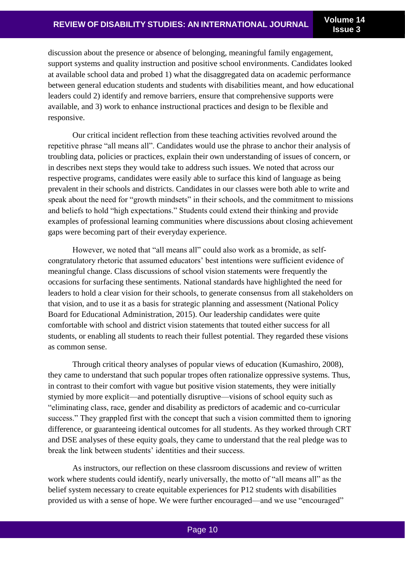discussion about the presence or absence of belonging, meaningful family engagement, support systems and quality instruction and positive school environments. Candidates looked at available school data and probed 1) what the disaggregated data on academic performance between general education students and students with disabilities meant, and how educational leaders could 2) identify and remove barriers, ensure that comprehensive supports were available, and 3) work to enhance instructional practices and design to be flexible and responsive.

Our critical incident reflection from these teaching activities revolved around the repetitive phrase "all means all". Candidates would use the phrase to anchor their analysis of troubling data, policies or practices, explain their own understanding of issues of concern, or in describes next steps they would take to address such issues. We noted that across our respective programs, candidates were easily able to surface this kind of language as being prevalent in their schools and districts. Candidates in our classes were both able to write and speak about the need for "growth mindsets" in their schools, and the commitment to missions and beliefs to hold "high expectations." Students could extend their thinking and provide examples of professional learning communities where discussions about closing achievement gaps were becoming part of their everyday experience.

However, we noted that "all means all" could also work as a bromide, as selfcongratulatory rhetoric that assumed educators' best intentions were sufficient evidence of meaningful change. Class discussions of school vision statements were frequently the occasions for surfacing these sentiments. National standards have highlighted the need for leaders to hold a clear vision for their schools, to generate consensus from all stakeholders on that vision, and to use it as a basis for strategic planning and assessment (National Policy Board for Educational Administration, 2015). Our leadership candidates were quite comfortable with school and district vision statements that touted either success for all students, or enabling all students to reach their fullest potential. They regarded these visions as common sense.

Through critical theory analyses of popular views of education (Kumashiro, 2008), they came to understand that such popular tropes often rationalize oppressive systems. Thus, in contrast to their comfort with vague but positive vision statements, they were initially stymied by more explicit—and potentially disruptive—visions of school equity such as "eliminating class, race, gender and disability as predictors of academic and co-curricular success." They grappled first with the concept that such a vision committed them to ignoring difference, or guaranteeing identical outcomes for all students. As they worked through CRT and DSE analyses of these equity goals, they came to understand that the real pledge was to break the link between students' identities and their success.

As instructors, our reflection on these classroom discussions and review of written work where students could identify, nearly universally, the motto of "all means all" as the belief system necessary to create equitable experiences for P12 students with disabilities provided us with a sense of hope. We were further encouraged—and we use "encouraged"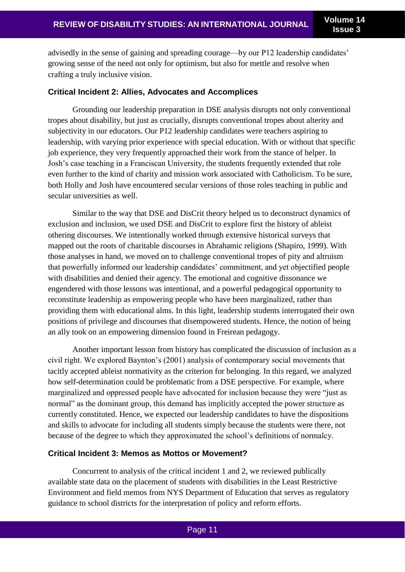advisedly in the sense of gaining and spreading courage—by our P12 leadership candidates' growing sense of the need not only for optimism, but also for mettle and resolve when crafting a truly inclusive vision.

#### **Critical Incident 2: Allies, Advocates and Accomplices**

Grounding our leadership preparation in DSE analysis disrupts not only conventional tropes about disability, but just as crucially, disrupts conventional tropes about alterity and subjectivity in our educators. Our P12 leadership candidates were teachers aspiring to leadership, with varying prior experience with special education. With or without that specific job experience, they very frequently approached their work from the stance of helper. In Josh's case teaching in a Franciscan University, the students frequently extended that role even further to the kind of charity and mission work associated with Catholicism. To be sure, both Holly and Josh have encountered secular versions of those roles teaching in public and secular universities as well.

Similar to the way that DSE and DisCrit theory helped us to deconstruct dynamics of exclusion and inclusion, we used DSE and DisCrit to explore first the history of ableist othering discourses. We intentionally worked through extensive historical surveys that mapped out the roots of charitable discourses in Abrahamic religions (Shapiro, 1999). With those analyses in hand, we moved on to challenge conventional tropes of pity and altruism that powerfully informed our leadership candidates' commitment, and yet objectified people with disabilities and denied their agency. The emotional and cognitive dissonance we engendered with those lessons was intentional, and a powerful pedagogical opportunity to reconstitute leadership as empowering people who have been marginalized, rather than providing them with educational alms. In this light, leadership students interrogated their own positions of privilege and discourses that disempowered students. Hence, the notion of being an ally took on an empowering dimension found in Freirean pedagogy.

Another important lesson from history has complicated the discussion of inclusion as a civil right. We explored Baynton's (2001) analysis of contemporary social movements that tacitly accepted ableist normativity as the criterion for belonging. In this regard, we analyzed how self-determination could be problematic from a DSE perspective. For example, where marginalized and oppressed people have advocated for inclusion because they were "just as normal" as the dominant group, this demand has implicitly accepted the power structure as currently constituted. Hence, we expected our leadership candidates to have the dispositions and skills to advocate for including all students simply because the students were there, not because of the degree to which they approximated the school's definitions of normalcy.

#### **Critical Incident 3: Memos as Mottos or Movement?**

Concurrent to analysis of the critical incident 1 and 2, we reviewed publically available state data on the placement of students with disabilities in the Least Restrictive Environment and field memos from NYS Department of Education that serves as regulatory guidance to school districts for the interpretation of policy and reform efforts.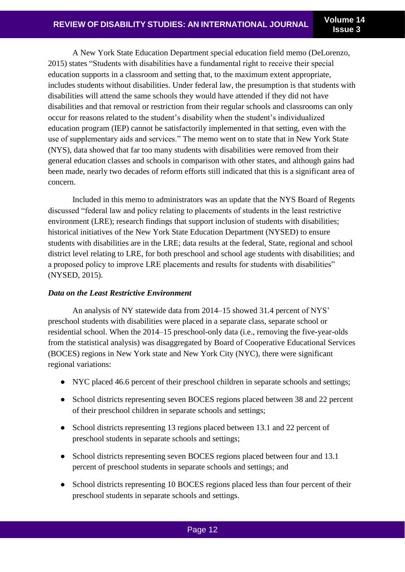A New York State Education Department special education field memo (DeLorenzo, 2015) states "Students with disabilities have a fundamental right to receive their special education supports in a classroom and setting that, to the maximum extent appropriate, includes students without disabilities. Under federal law, the presumption is that students with disabilities will attend the same schools they would have attended if they did not have disabilities and that removal or restriction from their regular schools and classrooms can only occur for reasons related to the student's disability when the student's individualized education program (IEP) cannot be satisfactorily implemented in that setting, even with the use of supplementary aids and services." The memo went on to state that in New York State (NYS), data showed that far too many students with disabilities were removed from their general education classes and schools in comparison with other states, and although gains had been made, nearly two decades of reform efforts still indicated that this is a significant area of concern.

Included in this memo to administrators was an update that the NYS Board of Regents discussed "federal law and policy relating to placements of students in the least restrictive environment (LRE); research findings that support inclusion of students with disabilities; historical initiatives of the New York State Education Department (NYSED) to ensure students with disabilities are in the LRE; data results at the federal, State, regional and school district level relating to LRE, for both preschool and school age students with disabilities; and a proposed policy to improve LRE placements and results for students with disabilities" (NYSED, 2015).

## *Data on the Least Restrictive Environment*

An analysis of NY statewide data from 2014–15 showed 31.4 percent of NYS' preschool students with disabilities were placed in a separate class, separate school or residential school. When the 2014–15 preschool-only data (i.e., removing the five-year-olds from the statistical analysis) was disaggregated by Board of Cooperative Educational Services (BOCES) regions in New York state and New York City (NYC), there were significant regional variations:

- NYC placed 46.6 percent of their preschool children in separate schools and settings;
- School districts representing seven BOCES regions placed between 38 and 22 percent of their preschool children in separate schools and settings;
- School districts representing 13 regions placed between 13.1 and 22 percent of preschool students in separate schools and settings;
- School districts representing seven BOCES regions placed between four and 13.1 percent of preschool students in separate schools and settings; and
- School districts representing 10 BOCES regions placed less than four percent of their preschool students in separate schools and settings.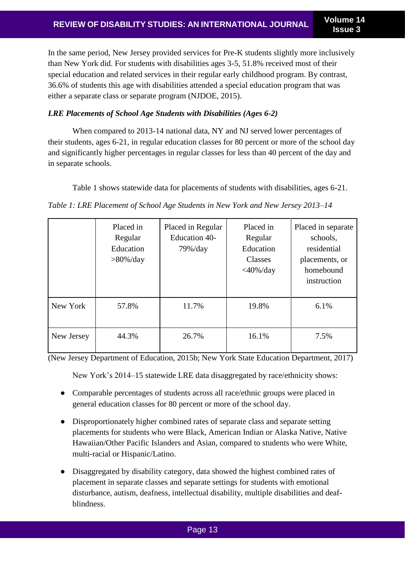In the same period, New Jersey provided services for Pre-K students slightly more inclusively than New York did. For students with disabilities ages 3-5, 51.8% received most of their special education and related services in their regular early childhood program. By contrast, 36.6% of students this age with disabilities attended a special education program that was either a separate class or separate program (NJDOE, 2015).

## *LRE Placements of School Age Students with Disabilities (Ages 6-2)*

When compared to 2013-14 national data, NY and NJ served lower percentages of their students, ages 6-21, in regular education classes for 80 percent or more of the school day and significantly higher percentages in regular classes for less than 40 percent of the day and in separate schools.

Table 1 shows statewide data for placements of students with disabilities, ages 6-21.

*Table 1: LRE Placement of School Age Students in New York and New Jersey 2013–14*

|            | Placed in<br>Regular<br>Education<br>$>80\%$ /day | Placed in Regular<br><b>Education 40-</b><br>$79\%$ /day | Placed in<br>Regular<br>Education<br>Classes<br>$<$ 40%/day | Placed in separate<br>schools,<br>residential<br>placements, or<br>homebound<br>instruction |
|------------|---------------------------------------------------|----------------------------------------------------------|-------------------------------------------------------------|---------------------------------------------------------------------------------------------|
| New York   | 57.8%                                             | 11.7%                                                    | 19.8%                                                       | 6.1%                                                                                        |
| New Jersey | 44.3%                                             | 26.7%                                                    | 16.1%                                                       | 7.5%                                                                                        |

(New Jersey Department of Education, 2015b; New York State Education Department, 2017)

New York's 2014–15 statewide LRE data disaggregated by race/ethnicity shows:

- Comparable percentages of students across all race/ethnic groups were placed in general education classes for 80 percent or more of the school day.
- Disproportionately higher combined rates of separate class and separate setting placements for students who were Black, American Indian or Alaska Native, Native Hawaiian/Other Pacific Islanders and Asian, compared to students who were White, multi-racial or Hispanic/Latino.
- Disaggregated by disability category, data showed the highest combined rates of placement in separate classes and separate settings for students with emotional disturbance, autism, deafness, intellectual disability, multiple disabilities and deafblindness.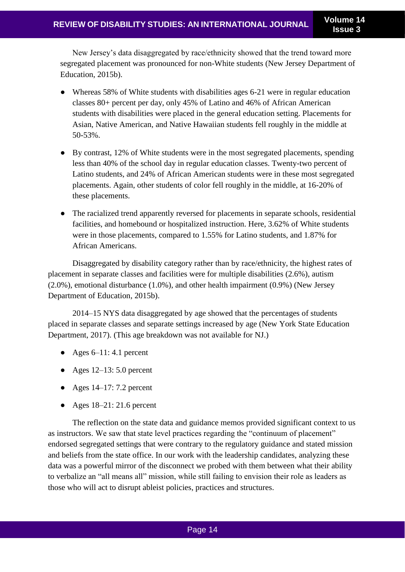New Jersey's data disaggregated by race/ethnicity showed that the trend toward more segregated placement was pronounced for non-White students (New Jersey Department of Education, 2015b).

- Whereas 58% of White students with disabilities ages 6-21 were in regular education classes 80+ percent per day, only 45% of Latino and 46% of African American students with disabilities were placed in the general education setting. Placements for Asian, Native American, and Native Hawaiian students fell roughly in the middle at 50-53%.
- By contrast, 12% of White students were in the most segregated placements, spending less than 40% of the school day in regular education classes. Twenty-two percent of Latino students, and 24% of African American students were in these most segregated placements. Again, other students of color fell roughly in the middle, at 16-20% of these placements.
- The racialized trend apparently reversed for placements in separate schools, residential facilities, and homebound or hospitalized instruction. Here, 3.62% of White students were in those placements, compared to 1.55% for Latino students, and 1.87% for African Americans.

Disaggregated by disability category rather than by race/ethnicity, the highest rates of placement in separate classes and facilities were for multiple disabilities (2.6%), autism (2.0%), emotional disturbance (1.0%), and other health impairment (0.9%) (New Jersey Department of Education, 2015b).

2014–15 NYS data disaggregated by age showed that the percentages of students placed in separate classes and separate settings increased by age (New York State Education Department, 2017). (This age breakdown was not available for NJ.)

- Ages  $6-11: 4.1$  percent
- Ages  $12-13: 5.0$  percent
- Ages  $14-17: 7.2$  percent
- Ages  $18-21:21.6$  percent

The reflection on the state data and guidance memos provided significant context to us as instructors. We saw that state level practices regarding the "continuum of placement" endorsed segregated settings that were contrary to the regulatory guidance and stated mission and beliefs from the state office. In our work with the leadership candidates, analyzing these data was a powerful mirror of the disconnect we probed with them between what their ability to verbalize an "all means all" mission, while still failing to envision their role as leaders as those who will act to disrupt ableist policies, practices and structures.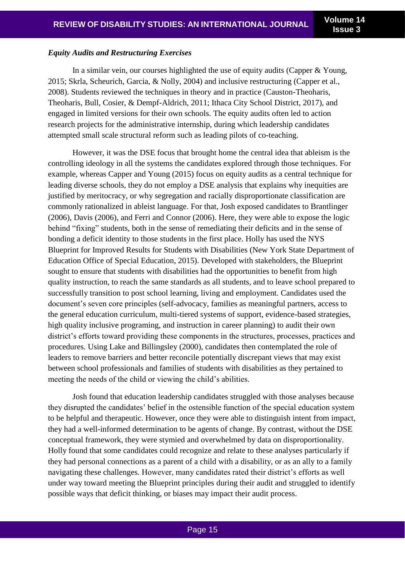#### *Equity Audits and Restructuring Exercises*

In a similar vein, our courses highlighted the use of equity audits (Capper & Young, 2015; Skrla, Scheurich, Garcia, & Nolly, 2004) and inclusive restructuring (Capper et al., 2008). Students reviewed the techniques in theory and in practice (Causton-Theoharis, Theoharis, Bull, Cosier, & Dempf-Aldrich, 2011; Ithaca City School District, 2017), and engaged in limited versions for their own schools. The equity audits often led to action research projects for the administrative internship, during which leadership candidates attempted small scale structural reform such as leading pilots of co-teaching.

However, it was the DSE focus that brought home the central idea that ableism is the controlling ideology in all the systems the candidates explored through those techniques. For example, whereas Capper and Young (2015) focus on equity audits as a central technique for leading diverse schools, they do not employ a DSE analysis that explains why inequities are justified by meritocracy, or why segregation and racially disproportionate classification are commonly rationalized in ableist language. For that, Josh exposed candidates to Brantlinger (2006), Davis (2006), and Ferri and Connor (2006). Here, they were able to expose the logic behind "fixing" students, both in the sense of remediating their deficits and in the sense of bonding a deficit identity to those students in the first place. Holly has used the NYS Blueprint for Improved Results for Students with Disabilities (New York State Department of Education Office of Special Education, 2015). Developed with stakeholders, the Blueprint sought to ensure that students with disabilities had the opportunities to benefit from high quality instruction, to reach the same standards as all students, and to leave school prepared to successfully transition to post school learning, living and employment. Candidates used the document's seven core principles (self-advocacy, families as meaningful partners, access to the general education curriculum, multi-tiered systems of support, evidence-based strategies, high quality inclusive programing, and instruction in career planning) to audit their own district's efforts toward providing these components in the structures, processes, practices and procedures. Using Lake and Billingsley (2000), candidates then contemplated the role of leaders to remove barriers and better reconcile potentially discrepant views that may exist between school professionals and families of students with disabilities as they pertained to meeting the needs of the child or viewing the child's abilities.

Josh found that education leadership candidates struggled with those analyses because they disrupted the candidates' belief in the ostensible function of the special education system to be helpful and therapeutic. However, once they were able to distinguish intent from impact, they had a well-informed determination to be agents of change. By contrast, without the DSE conceptual framework, they were stymied and overwhelmed by data on disproportionality. Holly found that some candidates could recognize and relate to these analyses particularly if they had personal connections as a parent of a child with a disability, or as an ally to a family navigating these challenges. However, many candidates rated their district's efforts as well under way toward meeting the Blueprint principles during their audit and struggled to identify possible ways that deficit thinking, or biases may impact their audit process.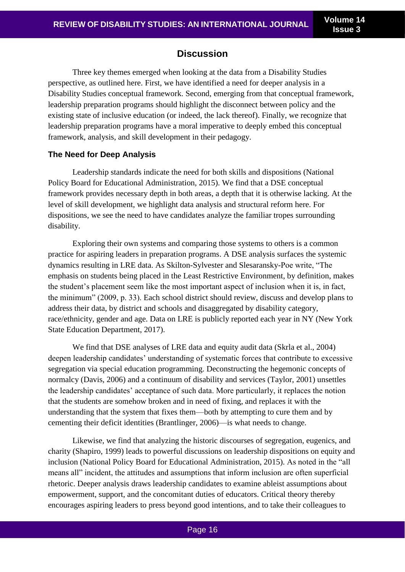## **Discussion**

Three key themes emerged when looking at the data from a Disability Studies perspective, as outlined here. First, we have identified a need for deeper analysis in a Disability Studies conceptual framework. Second, emerging from that conceptual framework, leadership preparation programs should highlight the disconnect between policy and the existing state of inclusive education (or indeed, the lack thereof). Finally, we recognize that leadership preparation programs have a moral imperative to deeply embed this conceptual framework, analysis, and skill development in their pedagogy.

#### **The Need for Deep Analysis**

Leadership standards indicate the need for both skills and dispositions (National Policy Board for Educational Administration, 2015). We find that a DSE conceptual framework provides necessary depth in both areas, a depth that it is otherwise lacking. At the level of skill development, we highlight data analysis and structural reform here. For dispositions, we see the need to have candidates analyze the familiar tropes surrounding disability.

Exploring their own systems and comparing those systems to others is a common practice for aspiring leaders in preparation programs. A DSE analysis surfaces the systemic dynamics resulting in LRE data. As Skilton-Sylvester and Slesaransky-Poe write, "The emphasis on students being placed in the Least Restrictive Environment, by definition, makes the student's placement seem like the most important aspect of inclusion when it is, in fact, the minimum" (2009, p. 33). Each school district should review, discuss and develop plans to address their data, by district and schools and disaggregated by disability category, race/ethnicity, gender and age. Data on LRE is publicly reported each year in NY (New York State Education Department, 2017).

We find that DSE analyses of LRE data and equity audit data (Skrla et al., 2004) deepen leadership candidates' understanding of systematic forces that contribute to excessive segregation via special education programming. Deconstructing the hegemonic concepts of normalcy (Davis, 2006) and a continuum of disability and services (Taylor, 2001) unsettles the leadership candidates' acceptance of such data. More particularly, it replaces the notion that the students are somehow broken and in need of fixing, and replaces it with the understanding that the system that fixes them—both by attempting to cure them and by cementing their deficit identities (Brantlinger, 2006)—is what needs to change.

Likewise, we find that analyzing the historic discourses of segregation, eugenics, and charity (Shapiro, 1999) leads to powerful discussions on leadership dispositions on equity and inclusion (National Policy Board for Educational Administration, 2015). As noted in the "all means all" incident, the attitudes and assumptions that inform inclusion are often superficial rhetoric. Deeper analysis draws leadership candidates to examine ableist assumptions about empowerment, support, and the concomitant duties of educators. Critical theory thereby encourages aspiring leaders to press beyond good intentions, and to take their colleagues to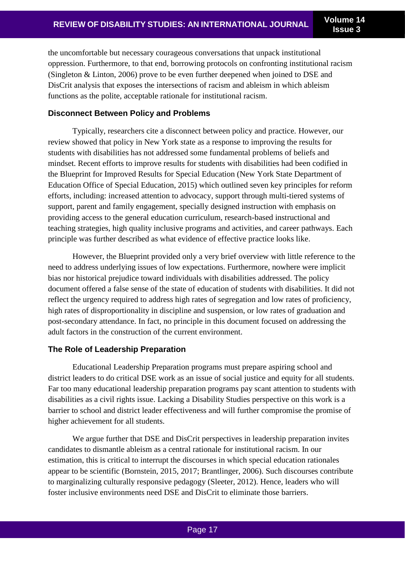the uncomfortable but necessary courageous conversations that unpack institutional oppression. Furthermore, to that end, borrowing protocols on confronting institutional racism (Singleton & Linton, 2006) prove to be even further deepened when joined to DSE and DisCrit analysis that exposes the intersections of racism and ableism in which ableism functions as the polite, acceptable rationale for institutional racism.

## **Disconnect Between Policy and Problems**

Typically, researchers cite a disconnect between policy and practice. However, our review showed that policy in New York state as a response to improving the results for students with disabilities has not addressed some fundamental problems of beliefs and mindset. Recent efforts to improve results for students with disabilities had been codified in the Blueprint for Improved Results for Special Education (New York State Department of Education Office of Special Education, 2015) which outlined seven key principles for reform efforts, including: increased attention to advocacy, support through multi-tiered systems of support, parent and family engagement, specially designed instruction with emphasis on providing access to the general education curriculum, research-based instructional and teaching strategies, high quality inclusive programs and activities, and career pathways. Each principle was further described as what evidence of effective practice looks like.

However, the Blueprint provided only a very brief overview with little reference to the need to address underlying issues of low expectations. Furthermore, nowhere were implicit bias nor historical prejudice toward individuals with disabilities addressed. The policy document offered a false sense of the state of education of students with disabilities. It did not reflect the urgency required to address high rates of segregation and low rates of proficiency, high rates of disproportionality in discipline and suspension, or low rates of graduation and post-secondary attendance. In fact, no principle in this document focused on addressing the adult factors in the construction of the current environment.

## **The Role of Leadership Preparation**

Educational Leadership Preparation programs must prepare aspiring school and district leaders to do critical DSE work as an issue of social justice and equity for all students. Far too many educational leadership preparation programs pay scant attention to students with disabilities as a civil rights issue. Lacking a Disability Studies perspective on this work is a barrier to school and district leader effectiveness and will further compromise the promise of higher achievement for all students.

We argue further that DSE and DisCrit perspectives in leadership preparation invites candidates to dismantle ableism as a central rationale for institutional racism. In our estimation, this is critical to interrupt the discourses in which special education rationales appear to be scientific (Bornstein, 2015, 2017; Brantlinger, 2006). Such discourses contribute to marginalizing culturally responsive pedagogy (Sleeter, 2012). Hence, leaders who will foster inclusive environments need DSE and DisCrit to eliminate those barriers.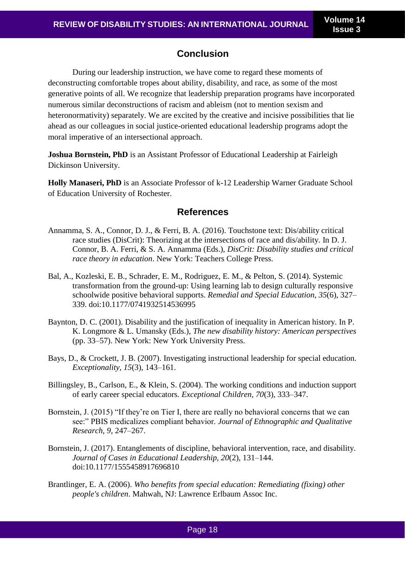# **Conclusion**

During our leadership instruction, we have come to regard these moments of deconstructing comfortable tropes about ability, disability, and race, as some of the most generative points of all. We recognize that leadership preparation programs have incorporated numerous similar deconstructions of racism and ableism (not to mention sexism and heteronormativity) separately. We are excited by the creative and incisive possibilities that lie ahead as our colleagues in social justice-oriented educational leadership programs adopt the moral imperative of an intersectional approach.

**Joshua Bornstein, PhD** is an Assistant Professor of Educational Leadership at Fairleigh Dickinson University.

**Holly Manaseri, PhD** is an Associate Professor of k-12 Leadership Warner Graduate School of Education University of Rochester.

## **References**

- Annamma, S. A., Connor, D. J., & Ferri, B. A. (2016). Touchstone text: Dis/ability critical race studies (DisCrit): Theorizing at the intersections of race and dis/ability. In D. J. Connor, B. A. Ferri, & S. A. Annamma (Eds.), *DisCrit: Disability studies and critical race theory in education*. New York: Teachers College Press.
- Bal, A., Kozleski, E. B., Schrader, E. M., Rodriguez, E. M., & Pelton, S. (2014). Systemic transformation from the ground-up: Using learning lab to design culturally responsive schoolwide positive behavioral supports. *Remedial and Special Education, 35*(6), 327– 339. doi:10.1177/0741932514536995
- Baynton, D. C. (2001). Disability and the justification of inequality in American history. In P. K. Longmore & L. Umansky (Eds.), *The new disability history: American perspectives* (pp. 33–57). New York: New York University Press.
- Bays, D., & Crockett, J. B. (2007). Investigating instructional leadership for special education. *Exceptionality, 15*(3), 143–161.
- Billingsley, B., Carlson, E., & Klein, S. (2004). The working conditions and induction support of early career special educators. *Exceptional Children, 70*(3), 333–347.
- Bornstein, J. (2015) "If they're on Tier I, there are really no behavioral concerns that we can see:" PBIS medicalizes compliant behavior*. Journal of Ethnographic and Qualitative Research, 9*, 247–267.
- Bornstein, J. (2017). Entanglements of discipline, behavioral intervention, race, and disability. *Journal of Cases in Educational Leadership, 20*(2), 131–144. doi:10.1177/1555458917696810
- Brantlinger, E. A. (2006). *Who benefits from special education: Remediating (fixing) other people's children*. Mahwah, NJ: Lawrence Erlbaum Assoc Inc.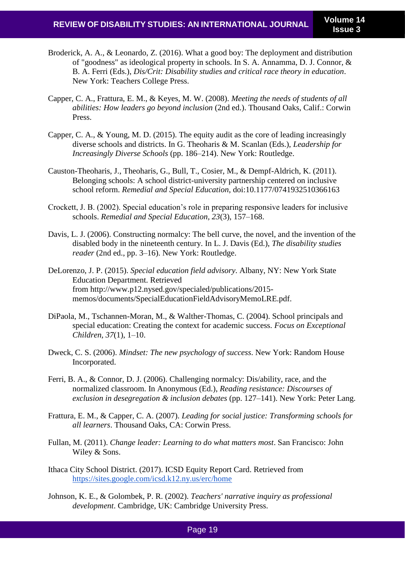- Broderick, A. A., & Leonardo, Z. (2016). What a good boy: The deployment and distribution of "goodness" as ideological property in schools. In S. A. Annamma, D. J. Connor, & B. A. Ferri (Eds.), *Dis/Crit: Disability studies and critical race theory in education*. New York: Teachers College Press.
- Capper, C. A., Frattura, E. M., & Keyes, M. W. (2008). *Meeting the needs of students of all abilities: How leaders go beyond inclusion* (2nd ed.). Thousand Oaks, Calif.: Corwin Press.
- Capper, C. A., & Young, M. D. (2015). The equity audit as the core of leading increasingly diverse schools and districts. In G. Theoharis & M. Scanlan (Eds.), *Leadership for Increasingly Diverse Schools* (pp. 186–214). New York: Routledge.
- Causton-Theoharis, J., Theoharis, G., Bull, T., Cosier, M., & Dempf-Aldrich, K. (2011). Belonging schools: A school district-university partnership centered on inclusive school reform. *Remedial and Special Education*, doi:10.1177/0741932510366163
- Crockett, J. B. (2002). Special education's role in preparing responsive leaders for inclusive schools. *Remedial and Special Education, 23*(3), 157–168.
- Davis, L. J. (2006). Constructing normalcy: The bell curve, the novel, and the invention of the disabled body in the nineteenth century. In L. J. Davis (Ed.), *The disability studies reader* (2nd ed., pp. 3–16). New York: Routledge.
- DeLorenzo, J. P. (2015). *Special education field advisory*. Albany, NY: New York State Education Department. Retrieved from [http://www.p12.nysed.gov/specialed/publications/2015](http://www.p12.nysed.gov/specialed/publications/2015-memos/documents/SpecialEducationFieldAdvisoryMemoLRE.pdf.) [memos/documents/SpecialEducationFieldAdvisoryMemoLRE.pdf.](http://www.p12.nysed.gov/specialed/publications/2015-memos/documents/SpecialEducationFieldAdvisoryMemoLRE.pdf.)
- DiPaola, M., Tschannen-Moran, M., & Walther-Thomas, C. (2004). School principals and special education: Creating the context for academic success. *Focus on Exceptional Children, 37*(1), 1–10.
- Dweck, C. S. (2006). *Mindset: The new psychology of success*. New York: Random House Incorporated.
- Ferri, B. A., & Connor, D. J. (2006). Challenging normalcy: Dis/ability, race, and the normalized classroom. In Anonymous (Ed.), *Reading resistance: Discourses of exclusion in desegregation & inclusion debates* (pp. 127–141). New York: Peter Lang.
- Frattura, E. M., & Capper, C. A. (2007). *Leading for social justice: Transforming schools for all learners*. Thousand Oaks, CA: Corwin Press.
- Fullan, M. (2011). *Change leader: Learning to do what matters most*. San Francisco: John Wiley & Sons.
- Ithaca City School District. (2017). ICSD Equity Report Card. Retrieved fro[m](https://sites.google.com/icsd.k12.ny.us/erc/home) <https://sites.google.com/icsd.k12.ny.us/erc/home>
- Johnson, K. E., & Golombek, P. R. (2002). *Teachers' narrative inquiry as professional development*. Cambridge, UK: Cambridge University Press.

#### Page 19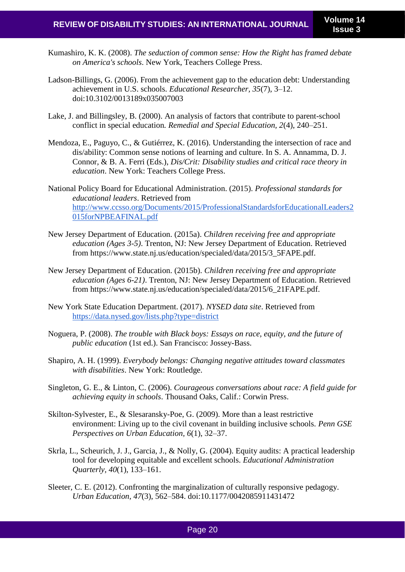- Kumashiro, K. K. (2008). *The seduction of common sense: How the Right has framed debate on America's schools*. New York, Teachers College Press.
- Ladson-Billings, G. (2006). From the achievement gap to the education debt: Understanding achievement in U.S. schools. *Educational Researcher, 35*(7), 3–12. doi:10.3102/0013189x035007003
- Lake, J. and Billingsley, B. (2000). An analysis of factors that contribute to parent-school conflict in special education*. Remedial and Special Education, 2*(4), 240–251.
- Mendoza, E., Paguyo, C., & Gutiérrez, K. (2016). Understanding the intersection of race and dis/ability: Common sense notions of learning and culture. In S. A. Annamma, D. J. Connor, & B. A. Ferri (Eds.), *Dis/Crit: Disability studies and critical race theory in education*. New York: Teachers College Press.
- National Policy Board for Educational Administration. (2015). *Professional standards for educational leaders*. Retrieved from [http://www.ccsso.org/Documents/2015/ProfessionalStandardsforEducationalLeaders2](http://www.ccsso.org/Documents/2015/ProfessionalStandardsforEducationalLeaders2015forNPBEAFINAL.pdf) [015forNPBEAFINAL.pdf](http://www.ccsso.org/Documents/2015/ProfessionalStandardsforEducationalLeaders2015forNPBEAFINAL.pdf)
- New Jersey Department of Education. (2015a). *Children receiving free and appropriate education (Ages 3-5)*. Trenton, NJ: New Jersey Department of Education. Retrieved from [https://www.state.nj.us/education/specialed/data/2015/3\\_5FAPE.pdf.](https://www.state.nj.us/education/specialed/data/2015/3_5FAPE.pdf.)
- New Jersey Department of Education. (2015b). *Children receiving free and appropriate education (Ages 6-21)*. Trenton, NJ: New Jersey Department of Education. Retrieved from [https://www.state.nj.us/education/specialed/data/2015/6\\_21FAPE.pdf.](https://www.state.nj.us/education/specialed/data/2015/6_21FAPE.pdf.)
- New York State Education Department. (2017). *NYSED data site*. Retrieved fro[m](https://data.nysed.gov/lists.php?type=district) <https://data.nysed.gov/lists.php?type=district>
- Noguera, P. (2008). *The trouble with Black boys: Essays on race, equity, and the future of public education* (1st ed.). San Francisco: Jossey-Bass.
- Shapiro, A. H. (1999). *Everybody belongs: Changing negative attitudes toward classmates with disabilities*. New York: Routledge.
- Singleton, G. E., & Linton, C. (2006). *Courageous conversations about race: A field guide for achieving equity in schools*. Thousand Oaks, Calif.: Corwin Press.
- Skilton-Sylvester, E., & Slesaransky-Poe, G. (2009). More than a least restrictive environment: Living up to the civil covenant in building inclusive schools. *Penn GSE Perspectives on Urban Education, 6*(1), 32–37.
- Skrla, L., Scheurich, J. J., Garcia, J., & Nolly, G. (2004). Equity audits: A practical leadership tool for developing equitable and excellent schools. *Educational Administration Quarterly, 40*(1), 133–161.
- Sleeter, C. E. (2012). Confronting the marginalization of culturally responsive pedagogy. *Urban Education, 47*(3), 562–584. doi:10.1177/0042085911431472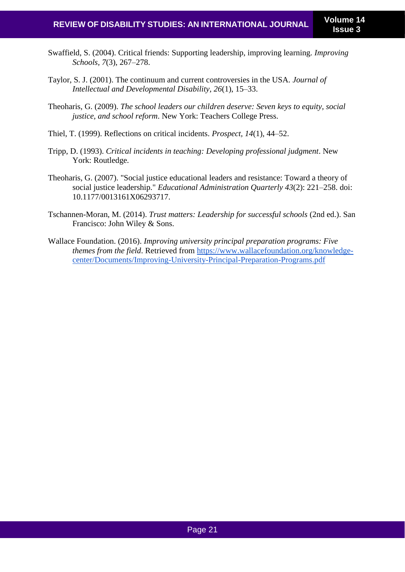- Swaffield, S. (2004). Critical friends: Supporting leadership, improving learning. *Improving Schools, 7*(3), 267–278.
- Taylor, S. J. (2001). The continuum and current controversies in the USA. *Journal of Intellectual and Developmental Disability, 26*(1), 15–33.
- Theoharis, G. (2009). *The school leaders our children deserve: Seven keys to equity, social justice, and school reform*. New York: Teachers College Press.
- Thiel, T. (1999). Reflections on critical incidents. *Prospect, 14*(1), 44–52.
- Tripp, D. (1993). *Critical incidents in teaching: Developing professional judgment*. New York: Routledge.
- Theoharis, G. (2007). "Social justice educational leaders and resistance: Toward a theory of social justice leadership." *Educational Administration Quarterly 43*(2): 221–258. doi: [10.1177/0013161X06293717.](https://doi.org/10.1177%2F0013161X06293717)
- Tschannen-Moran, M. (2014). *Trust matters: Leadership for successful schools* (2nd ed.). San Francisco: John Wiley & Sons.
- Wallace Foundation. (2016). *Improving university principal preparation programs: Five themes from the field*. Retrieved from [https://www.wallacefoundation.org/knowledge](https://www.wallacefoundation.org/knowledge-center/Documents/Improving-University-Principal-Preparation-Programs.pdf)[center/Documents/Improving-University-Principal-Preparation-Programs.pdf](https://www.wallacefoundation.org/knowledge-center/Documents/Improving-University-Principal-Preparation-Programs.pdf)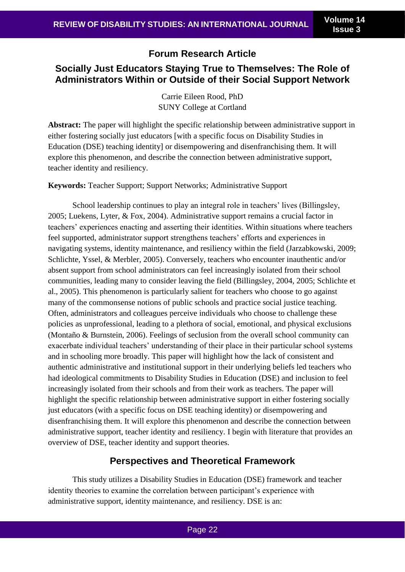## **Forum Research Article**

# **Socially Just Educators Staying True to Themselves: The Role of Administrators Within or Outside of their Social Support Network**

Carrie Eileen Rood, PhD SUNY College at Cortland

**Abstract:** The paper will highlight the specific relationship between administrative support in either fostering socially just educators [with a specific focus on Disability Studies in Education (DSE) teaching identity] or disempowering and disenfranchising them. It will explore this phenomenon, and describe the connection between administrative support, teacher identity and resiliency.

**Keywords:** Teacher Support; Support Networks; Administrative Support

School leadership continues to play an integral role in teachers' lives (Billingsley, 2005; Luekens, Lyter, & Fox, 2004). Administrative support remains a crucial factor in teachers' experiences enacting and asserting their identities. Within situations where teachers feel supported, administrator support strengthens teachers' efforts and experiences in navigating systems, identity maintenance, and resiliency within the field (Jarzabkowski, 2009; Schlichte, Yssel, & Merbler, 2005). Conversely, teachers who encounter inauthentic and/or absent support from school administrators can feel increasingly isolated from their school communities, leading many to consider leaving the field (Billingsley, 2004, 2005; Schlichte et al., 2005). This phenomenon is particularly salient for teachers who choose to go against many of the commonsense notions of public schools and practice social justice teaching. Often, administrators and colleagues perceive individuals who choose to challenge these policies as unprofessional, leading to a plethora of social, emotional, and physical exclusions (Montaño & Burnstein, 2006). Feelings of seclusion from the overall school community can exacerbate individual teachers' understanding of their place in their particular school systems and in schooling more broadly. This paper will highlight how the lack of consistent and authentic administrative and institutional support in their underlying beliefs led teachers who had ideological commitments to Disability Studies in Education (DSE) and inclusion to feel increasingly isolated from their schools and from their work as teachers. The paper will highlight the specific relationship between administrative support in either fostering socially just educators (with a specific focus on DSE teaching identity) or disempowering and disenfranchising them. It will explore this phenomenon and describe the connection between administrative support, teacher identity and resiliency. I begin with literature that provides an overview of DSE, teacher identity and support theories.

## **Perspectives and Theoretical Framework**

This study utilizes a Disability Studies in Education (DSE) framework and teacher identity theories to examine the correlation between participant's experience with administrative support, identity maintenance, and resiliency. DSE is an: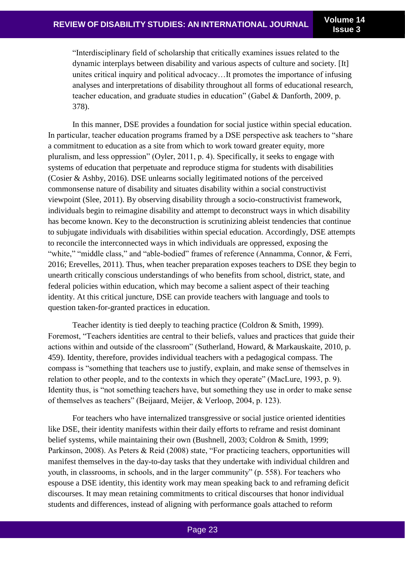**Issue 3**

"Interdisciplinary field of scholarship that critically examines issues related to the dynamic interplays between disability and various aspects of culture and society. [It] unites critical inquiry and political advocacy…It promotes the importance of infusing analyses and interpretations of disability throughout all forms of educational research, teacher education, and graduate studies in education" (Gabel & Danforth, 2009, p. 378).

In this manner, DSE provides a foundation for social justice within special education. In particular, teacher education programs framed by a DSE perspective ask teachers to "share a commitment to education as a site from which to work toward greater equity, more pluralism, and less oppression" (Oyler, 2011, p. 4). Specifically, it seeks to engage with systems of education that perpetuate and reproduce stigma for students with disabilities (Cosier & Ashby, 2016). DSE unlearns socially legitimated notions of the perceived commonsense nature of disability and situates disability within a social constructivist viewpoint (Slee, 2011). By observing disability through a socio-constructivist framework, individuals begin to reimagine disability and attempt to deconstruct ways in which disability has become known. Key to the deconstruction is scrutinizing ableist tendencies that continue to subjugate individuals with disabilities within special education. Accordingly, DSE attempts to reconcile the interconnected ways in which individuals are oppressed, exposing the "white," "middle class," and "able-bodied" frames of reference (Annamma, Connor, & Ferri, 2016; Erevelles, 2011). Thus, when teacher preparation exposes teachers to DSE they begin to unearth critically conscious understandings of who benefits from school, district, state, and federal policies within education, which may become a salient aspect of their teaching identity. At this critical juncture, DSE can provide teachers with language and tools to question taken-for-granted practices in education.

Teacher identity is tied deeply to teaching practice (Coldron & Smith, 1999). Foremost, "Teachers identities are central to their beliefs, values and practices that guide their actions within and outside of the classroom" (Sutherland, Howard, & Markauskaite, 2010, p. 459). Identity, therefore, provides individual teachers with a pedagogical compass. The compass is "something that teachers use to justify, explain, and make sense of themselves in relation to other people, and to the contexts in which they operate" (MacLure, 1993, p. 9). Identity thus, is "not something teachers have, but something they use in order to make sense of themselves as teachers" (Beijaard, Meijer, & Verloop, 2004, p. 123).

For teachers who have internalized transgressive or social justice oriented identities like DSE, their identity manifests within their daily efforts to reframe and resist dominant belief systems, while maintaining their own (Bushnell, 2003; Coldron & Smith, 1999; Parkinson, 2008). As Peters & Reid (2008) state, "For practicing teachers, opportunities will manifest themselves in the day-to-day tasks that they undertake with individual children and youth, in classrooms, in schools, and in the larger community" (p. 558). For teachers who espouse a DSE identity, this identity work may mean speaking back to and reframing deficit discourses. It may mean retaining commitments to critical discourses that honor individual students and differences, instead of aligning with performance goals attached to reform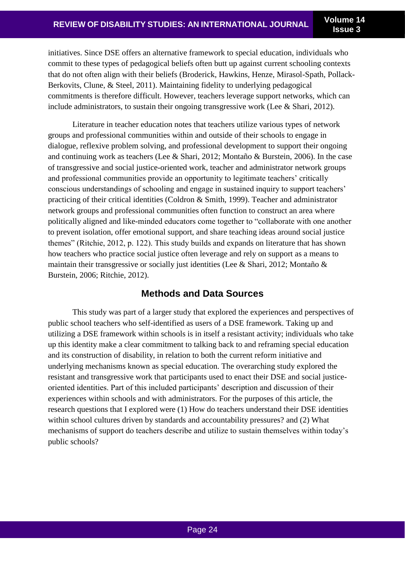initiatives. Since DSE offers an alternative framework to special education, individuals who commit to these types of pedagogical beliefs often butt up against current schooling contexts that do not often align with their beliefs (Broderick, Hawkins, Henze, Mirasol-Spath, Pollack-Berkovits, Clune, & Steel, 2011). Maintaining fidelity to underlying pedagogical commitments is therefore difficult. However, teachers leverage support networks, which can include administrators, to sustain their ongoing transgressive work (Lee & Shari, 2012).

Literature in teacher education notes that teachers utilize various types of network groups and professional communities within and outside of their schools to engage in dialogue, reflexive problem solving, and professional development to support their ongoing and continuing work as teachers (Lee & Shari, 2012; Montaño & Burstein, 2006). In the case of transgressive and social justice-oriented work, teacher and administrator network groups and professional communities provide an opportunity to legitimate teachers' critically conscious understandings of schooling and engage in sustained inquiry to support teachers' practicing of their critical identities (Coldron & Smith, 1999). Teacher and administrator network groups and professional communities often function to construct an area where politically aligned and like-minded educators come together to "collaborate with one another to prevent isolation, offer emotional support, and share teaching ideas around social justice themes" (Ritchie, 2012, p. 122). This study builds and expands on literature that has shown how teachers who practice social justice often leverage and rely on support as a means to maintain their transgressive or socially just identities (Lee & Shari, 2012; Montaño & Burstein, 2006; Ritchie, 2012).

## **Methods and Data Sources**

This study was part of a larger study that explored the experiences and perspectives of public school teachers who self-identified as users of a DSE framework. Taking up and utilizing a DSE framework within schools is in itself a resistant activity; individuals who take up this identity make a clear commitment to talking back to and reframing special education and its construction of disability, in relation to both the current reform initiative and underlying mechanisms known as special education. The overarching study explored the resistant and transgressive work that participants used to enact their DSE and social justiceoriented identities. Part of this included participants' description and discussion of their experiences within schools and with administrators. For the purposes of this article, the research questions that I explored were (1) How do teachers understand their DSE identities within school cultures driven by standards and accountability pressures? and (2) What mechanisms of support do teachers describe and utilize to sustain themselves within today's public schools?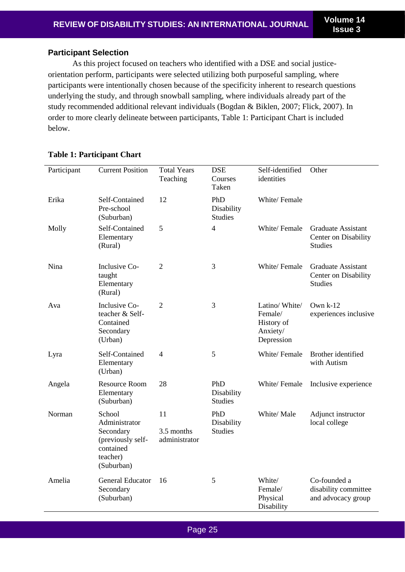## **Participant Selection**

As this project focused on teachers who identified with a DSE and social justiceorientation perform, participants were selected utilizing both purposeful sampling, where participants were intentionally chosen because of the specificity inherent to research questions underlying the study, and through snowball sampling, where individuals already part of the study recommended additional relevant individuals (Bogdan & Biklen, 2007; Flick, 2007). In order to more clearly delineate between participants, Table 1: Participant Chart is included below.

| Participant | <b>Current Position</b>                                                                          | <b>Total Years</b><br>Teaching    | <b>DSE</b><br>Courses<br>Taken      | Self-identified<br>identities                                    | Other                                                               |
|-------------|--------------------------------------------------------------------------------------------------|-----------------------------------|-------------------------------------|------------------------------------------------------------------|---------------------------------------------------------------------|
| Erika       | Self-Contained<br>Pre-school<br>(Suburban)                                                       | 12                                | PhD<br>Disability<br><b>Studies</b> | White/Female                                                     |                                                                     |
| Molly       | Self-Contained<br>Elementary<br>(Rural)                                                          | 5                                 | $\overline{4}$                      | White/Female                                                     | <b>Graduate Assistant</b><br>Center on Disability<br><b>Studies</b> |
| Nina        | Inclusive Co-<br>taught<br>Elementary<br>(Rural)                                                 | 2                                 | 3                                   | White/Female                                                     | <b>Graduate Assistant</b><br>Center on Disability<br><b>Studies</b> |
| Ava         | Inclusive Co-<br>teacher & Self-<br>Contained<br>Secondary<br>(Urban)                            | $\overline{2}$                    | 3                                   | Latino/White/<br>Female/<br>History of<br>Anxiety/<br>Depression | Own k-12<br>experiences inclusive                                   |
| Lyra        | Self-Contained<br>Elementary<br>(Urban)                                                          | 4                                 | 5                                   | White/Female                                                     | Brother identified<br>with Autism                                   |
| Angela      | <b>Resource Room</b><br>Elementary<br>(Suburban)                                                 | 28                                | PhD<br>Disability<br><b>Studies</b> | White/Female                                                     | Inclusive experience                                                |
| Norman      | School<br>Administrator<br>Secondary<br>(previously self-<br>contained<br>teacher)<br>(Suburban) | 11<br>3.5 months<br>administrator | PhD<br>Disability<br><b>Studies</b> | White/ Male                                                      | Adjunct instructor<br>local college                                 |
| Amelia      | <b>General Educator</b><br>Secondary<br>(Suburban)                                               | 16                                | 5                                   | White/<br>Female/<br>Physical<br>Disability                      | Co-founded a<br>disability committee<br>and advocacy group          |

## **Table 1: Participant Chart**

Page 25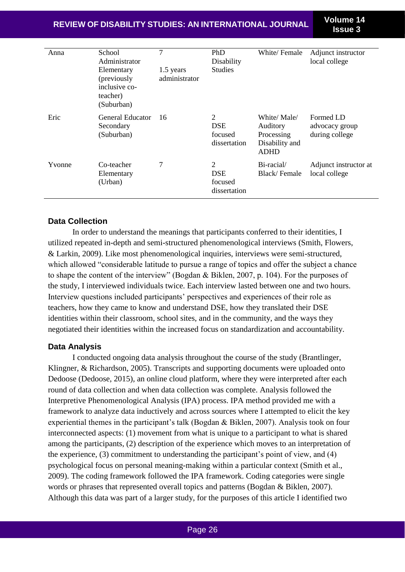**REVIEW OF DISABILITY STUDIES: AN INTERNATIONAL JOURNAL Volume 14**

**Issue 3**

| Anna   | School<br>Administrator<br>Elementary<br>(previously<br>inclusive co-<br>teacher)<br>(Suburban) | 7<br>1.5 years<br>administrator | PhD<br>Disability<br><b>Studies</b>        | White/Female                                                           | Adjunct instructor<br>local college           |
|--------|-------------------------------------------------------------------------------------------------|---------------------------------|--------------------------------------------|------------------------------------------------------------------------|-----------------------------------------------|
| Eric   | General Educator<br>Secondary<br>(Suburban)                                                     | 16                              | 2<br><b>DSE</b><br>focused<br>dissertation | White/Male/<br>Auditory<br>Processing<br>Disability and<br><b>ADHD</b> | Formed LD<br>advocacy group<br>during college |
| Yvonne | Co-teacher<br>Elementary<br>(Urban)                                                             | 7                               | 2<br><b>DSE</b><br>focused<br>dissertation | Bi-racial/<br>Black/Female                                             | Adjunct instructor at<br>local college        |

#### **Data Collection**

In order to understand the meanings that participants conferred to their identities, I utilized repeated in-depth and semi-structured phenomenological interviews (Smith, Flowers, & Larkin, 2009). Like most phenomenological inquiries, interviews were semi-structured, which allowed "considerable latitude to pursue a range of topics and offer the subject a chance to shape the content of the interview" (Bogdan & Biklen, 2007, p. 104). For the purposes of the study, I interviewed individuals twice. Each interview lasted between one and two hours. Interview questions included participants' perspectives and experiences of their role as teachers, how they came to know and understand DSE, how they translated their DSE identities within their classroom, school sites, and in the community, and the ways they negotiated their identities within the increased focus on standardization and accountability.

#### **Data Analysis**

I conducted ongoing data analysis throughout the course of the study (Brantlinger, Klingner, & Richardson, 2005). Transcripts and supporting documents were uploaded onto Dedoose (Dedoose, 2015), an online cloud platform, where they were interpreted after each round of data collection and when data collection was complete. Analysis followed the Interpretive Phenomenological Analysis (IPA) process. IPA method provided me with a framework to analyze data inductively and across sources where I attempted to elicit the key experiential themes in the participant's talk (Bogdan & Biklen, 2007). Analysis took on four interconnected aspects: (1) movement from what is unique to a participant to what is shared among the participants, (2) description of the experience which moves to an interpretation of the experience, (3) commitment to understanding the participant's point of view, and (4) psychological focus on personal meaning-making within a particular context (Smith et al., 2009). The coding framework followed the IPA framework. Coding categories were single words or phrases that represented overall topics and patterns (Bogdan & Biklen, 2007). Although this data was part of a larger study, for the purposes of this article I identified two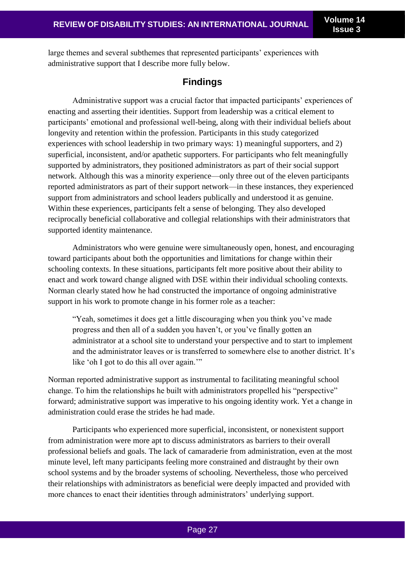**Issue 3**

large themes and several subthemes that represented participants' experiences with administrative support that I describe more fully below.

## **Findings**

Administrative support was a crucial factor that impacted participants' experiences of enacting and asserting their identities. Support from leadership was a critical element to participants' emotional and professional well-being, along with their individual beliefs about longevity and retention within the profession. Participants in this study categorized experiences with school leadership in two primary ways: 1) meaningful supporters, and 2) superficial, inconsistent, and/or apathetic supporters. For participants who felt meaningfully supported by administrators, they positioned administrators as part of their social support network. Although this was a minority experience—only three out of the eleven participants reported administrators as part of their support network—in these instances, they experienced support from administrators and school leaders publically and understood it as genuine. Within these experiences, participants felt a sense of belonging. They also developed reciprocally beneficial collaborative and collegial relationships with their administrators that supported identity maintenance.

Administrators who were genuine were simultaneously open, honest, and encouraging toward participants about both the opportunities and limitations for change within their schooling contexts. In these situations, participants felt more positive about their ability to enact and work toward change aligned with DSE within their individual schooling contexts. Norman clearly stated how he had constructed the importance of ongoing administrative support in his work to promote change in his former role as a teacher:

"Yeah, sometimes it does get a little discouraging when you think you've made progress and then all of a sudden you haven't, or you've finally gotten an administrator at a school site to understand your perspective and to start to implement and the administrator leaves or is transferred to somewhere else to another district. It's like 'oh I got to do this all over again."

Norman reported administrative support as instrumental to facilitating meaningful school change. To him the relationships he built with administrators propelled his "perspective" forward; administrative support was imperative to his ongoing identity work. Yet a change in administration could erase the strides he had made.

Participants who experienced more superficial, inconsistent, or nonexistent support from administration were more apt to discuss administrators as barriers to their overall professional beliefs and goals. The lack of camaraderie from administration, even at the most minute level, left many participants feeling more constrained and distraught by their own school systems and by the broader systems of schooling. Nevertheless, those who perceived their relationships with administrators as beneficial were deeply impacted and provided with more chances to enact their identities through administrators' underlying support.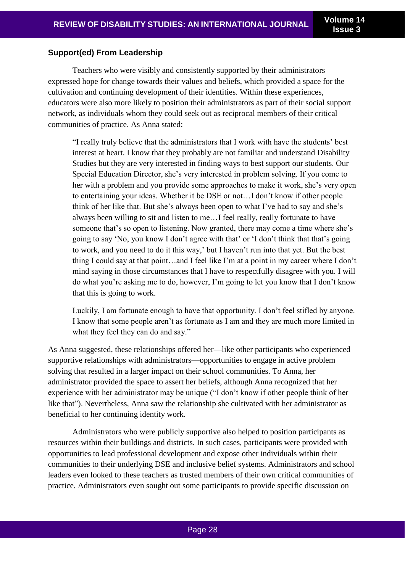#### **Support(ed) From Leadership**

Teachers who were visibly and consistently supported by their administrators expressed hope for change towards their values and beliefs, which provided a space for the cultivation and continuing development of their identities. Within these experiences, educators were also more likely to position their administrators as part of their social support network, as individuals whom they could seek out as reciprocal members of their critical communities of practice. As Anna stated:

"I really truly believe that the administrators that I work with have the students' best interest at heart. I know that they probably are not familiar and understand Disability Studies but they are very interested in finding ways to best support our students. Our Special Education Director, she's very interested in problem solving. If you come to her with a problem and you provide some approaches to make it work, she's very open to entertaining your ideas. Whether it be DSE or not…I don't know if other people think of her like that. But she's always been open to what I've had to say and she's always been willing to sit and listen to me…I feel really, really fortunate to have someone that's so open to listening. Now granted, there may come a time where she's going to say 'No, you know I don't agree with that' or 'I don't think that that's going to work, and you need to do it this way,' but I haven't run into that yet. But the best thing I could say at that point…and I feel like I'm at a point in my career where I don't mind saying in those circumstances that I have to respectfully disagree with you. I will do what you're asking me to do, however, I'm going to let you know that I don't know that this is going to work.

Luckily, I am fortunate enough to have that opportunity. I don't feel stifled by anyone. I know that some people aren't as fortunate as I am and they are much more limited in what they feel they can do and say."

As Anna suggested, these relationships offered her—like other participants who experienced supportive relationships with administrators—opportunities to engage in active problem solving that resulted in a larger impact on their school communities. To Anna, her administrator provided the space to assert her beliefs, although Anna recognized that her experience with her administrator may be unique ("I don't know if other people think of her like that"). Nevertheless, Anna saw the relationship she cultivated with her administrator as beneficial to her continuing identity work.

Administrators who were publicly supportive also helped to position participants as resources within their buildings and districts. In such cases, participants were provided with opportunities to lead professional development and expose other individuals within their communities to their underlying DSE and inclusive belief systems. Administrators and school leaders even looked to these teachers as trusted members of their own critical communities of practice. Administrators even sought out some participants to provide specific discussion on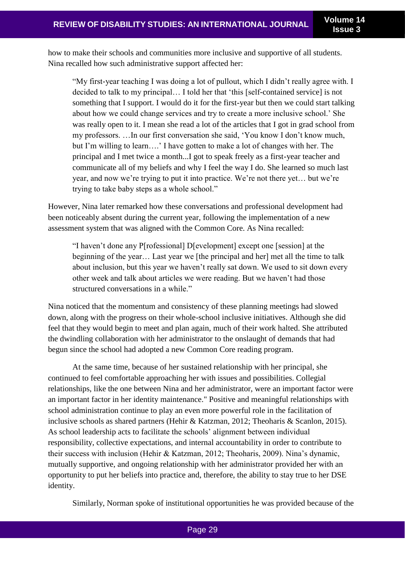how to make their schools and communities more inclusive and supportive of all students. Nina recalled how such administrative support affected her:

"My first-year teaching I was doing a lot of pullout, which I didn't really agree with. I decided to talk to my principal… I told her that 'this [self-contained service] is not something that I support. I would do it for the first-year but then we could start talking about how we could change services and try to create a more inclusive school.' She was really open to it. I mean she read a lot of the articles that I got in grad school from my professors. …In our first conversation she said, 'You know I don't know much, but I'm willing to learn….' I have gotten to make a lot of changes with her. The principal and I met twice a month...I got to speak freely as a first-year teacher and communicate all of my beliefs and why I feel the way I do. She learned so much last year, and now we're trying to put it into practice. We're not there yet… but we're trying to take baby steps as a whole school."

However, Nina later remarked how these conversations and professional development had been noticeably absent during the current year, following the implementation of a new assessment system that was aligned with the Common Core. As Nina recalled:

"I haven't done any P[rofessional] D[evelopment] except one [session] at the beginning of the year… Last year we [the principal and her] met all the time to talk about inclusion, but this year we haven't really sat down. We used to sit down every other week and talk about articles we were reading. But we haven't had those structured conversations in a while."

Nina noticed that the momentum and consistency of these planning meetings had slowed down, along with the progress on their whole-school inclusive initiatives. Although she did feel that they would begin to meet and plan again, much of their work halted. She attributed the dwindling collaboration with her administrator to the onslaught of demands that had begun since the school had adopted a new Common Core reading program.

At the same time, because of her sustained relationship with her principal, she continued to feel comfortable approaching her with issues and possibilities. Collegial relationships, like the one between Nina and her administrator, were an important factor were an important factor in her identity maintenance." Positive and meaningful relationships with school administration continue to play an even more powerful role in the facilitation of inclusive schools as shared partners (Hehir & Katzman, 2012; Theoharis & Scanlon, 2015). As school leadership acts to facilitate the schools' alignment between individual responsibility, collective expectations, and internal accountability in order to contribute to their success with inclusion (Hehir & Katzman, 2012; Theoharis, 2009). Nina's dynamic, mutually supportive, and ongoing relationship with her administrator provided her with an opportunity to put her beliefs into practice and, therefore, the ability to stay true to her DSE identity.

Similarly, Norman spoke of institutional opportunities he was provided because of the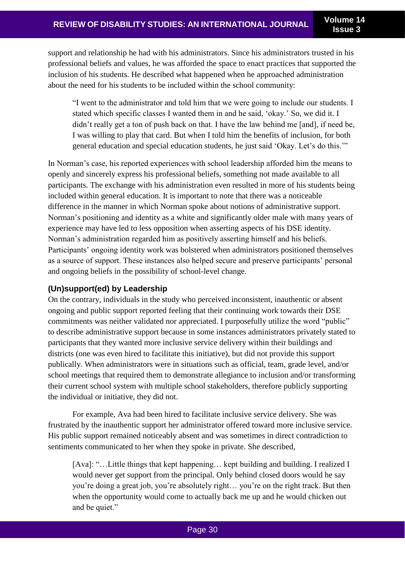support and relationship he had with his administrators. Since his administrators trusted in his professional beliefs and values, he was afforded the space to enact practices that supported the inclusion of his students. He described what happened when he approached administration about the need for his students to be included within the school community:

"I went to the administrator and told him that we were going to include our students. I stated which specific classes I wanted them in and he said, 'okay.' So, we did it. I didn't really get a ton of push back on that. I have the law behind me [and], if need be, I was willing to play that card. But when I told him the benefits of inclusion, for both general education and special education students, he just said 'Okay. Let's do this.'"

In Norman's case, his reported experiences with school leadership afforded him the means to openly and sincerely express his professional beliefs, something not made available to all participants. The exchange with his administration even resulted in more of his students being included within general education. It is important to note that there was a noticeable difference in the manner in which Norman spoke about notions of administrative support. Norman's positioning and identity as a white and significantly older male with many years of experience may have led to less opposition when asserting aspects of his DSE identity. Norman's administration regarded him as positively asserting himself and his beliefs. Participants' ongoing identity work was bolstered when administrators positioned themselves as a source of support. These instances also helped secure and preserve participants' personal and ongoing beliefs in the possibility of school-level change.

## **(Un)support(ed) by Leadership**

On the contrary, individuals in the study who perceived inconsistent, inauthentic or absent ongoing and public support reported feeling that their continuing work towards their DSE commitments was neither validated nor appreciated. I purposefully utilize the word "public" to describe administrative support because in some instances administrators privately stated to participants that they wanted more inclusive service delivery within their buildings and districts (one was even hired to facilitate this initiative), but did not provide this support publically. When administrators were in situations such as official, team, grade level, and/or school meetings that required them to demonstrate allegiance to inclusion and/or transforming their current school system with multiple school stakeholders, therefore publicly supporting the individual or initiative, they did not.

For example, Ava had been hired to facilitate inclusive service delivery. She was frustrated by the inauthentic support her administrator offered toward more inclusive service. His public support remained noticeably absent and was sometimes in direct contradiction to sentiments communicated to her when they spoke in private. She described,

[Ava]: "…Little things that kept happening… kept building and building. I realized I would never get support from the principal. Only behind closed doors would he say you're doing a great job, you're absolutely right… you're on the right track. But then when the opportunity would come to actually back me up and he would chicken out and be quiet."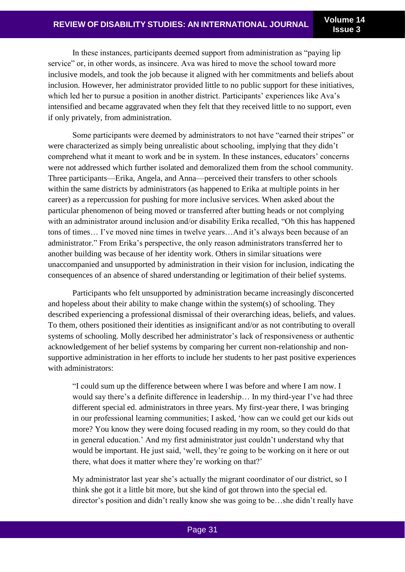In these instances, participants deemed support from administration as "paying lip service" or, in other words, as insincere. Ava was hired to move the school toward more inclusive models, and took the job because it aligned with her commitments and beliefs about inclusion. However, her administrator provided little to no public support for these initiatives, which led her to pursue a position in another district. Participants' experiences like Ava's intensified and became aggravated when they felt that they received little to no support, even if only privately, from administration.

Some participants were deemed by administrators to not have "earned their stripes" or were characterized as simply being unrealistic about schooling, implying that they didn't comprehend what it meant to work and be in system. In these instances, educators' concerns were not addressed which further isolated and demoralized them from the school community. Three participants—Erika, Angela, and Anna—perceived their transfers to other schools within the same districts by administrators (as happened to Erika at multiple points in her career) as a repercussion for pushing for more inclusive services. When asked about the particular phenomenon of being moved or transferred after butting heads or not complying with an administrator around inclusion and/or disability Erika recalled, "Oh this has happened tons of times… I've moved nine times in twelve years…And it's always been because of an administrator." From Erika's perspective, the only reason administrators transferred her to another building was because of her identity work. Others in similar situations were unaccompanied and unsupported by administration in their vision for inclusion, indicating the consequences of an absence of shared understanding or legitimation of their belief systems.

Participants who felt unsupported by administration became increasingly disconcerted and hopeless about their ability to make change within the system(s) of schooling. They described experiencing a professional dismissal of their overarching ideas, beliefs, and values. To them, others positioned their identities as insignificant and/or as not contributing to overall systems of schooling. Molly described her administrator's lack of responsiveness or authentic acknowledgement of her belief systems by comparing her current non-relationship and nonsupportive administration in her efforts to include her students to her past positive experiences with administrators:

"I could sum up the difference between where I was before and where I am now. I would say there's a definite difference in leadership… In my third-year I've had three different special ed. administrators in three years. My first-year there, I was bringing in our professional learning communities; I asked, 'how can we could get our kids out more? You know they were doing focused reading in my room, so they could do that in general education.' And my first administrator just couldn't understand why that would be important. He just said, 'well, they're going to be working on it here or out there, what does it matter where they're working on that?'

My administrator last year she's actually the migrant coordinator of our district, so I think she got it a little bit more, but she kind of got thrown into the special ed. director's position and didn't really know she was going to be…she didn't really have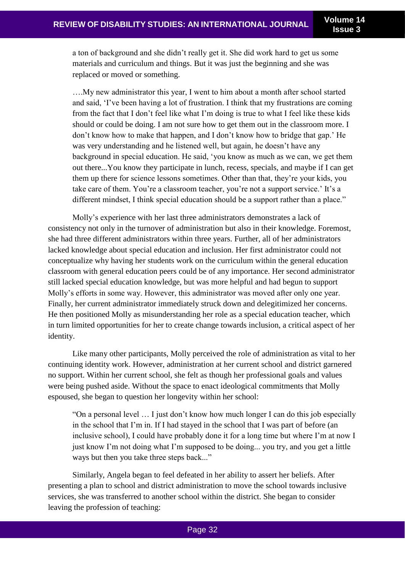a ton of background and she didn't really get it. She did work hard to get us some materials and curriculum and things. But it was just the beginning and she was replaced or moved or something.

….My new administrator this year, I went to him about a month after school started and said, 'I've been having a lot of frustration. I think that my frustrations are coming from the fact that I don't feel like what I'm doing is true to what I feel like these kids should or could be doing. I am not sure how to get them out in the classroom more. I don't know how to make that happen, and I don't know how to bridge that gap.' He was very understanding and he listened well, but again, he doesn't have any background in special education. He said, 'you know as much as we can, we get them out there...You know they participate in lunch, recess, specials, and maybe if I can get them up there for science lessons sometimes. Other than that, they're your kids, you take care of them. You're a classroom teacher, you're not a support service.' It's a different mindset, I think special education should be a support rather than a place."

Molly's experience with her last three administrators demonstrates a lack of consistency not only in the turnover of administration but also in their knowledge. Foremost, she had three different administrators within three years. Further, all of her administrators lacked knowledge about special education and inclusion. Her first administrator could not conceptualize why having her students work on the curriculum within the general education classroom with general education peers could be of any importance. Her second administrator still lacked special education knowledge, but was more helpful and had begun to support Molly's efforts in some way. However, this administrator was moved after only one year. Finally, her current administrator immediately struck down and delegitimized her concerns. He then positioned Molly as misunderstanding her role as a special education teacher, which in turn limited opportunities for her to create change towards inclusion, a critical aspect of her identity.

Like many other participants, Molly perceived the role of administration as vital to her continuing identity work. However, administration at her current school and district garnered no support. Within her current school, she felt as though her professional goals and values were being pushed aside. Without the space to enact ideological commitments that Molly espoused, she began to question her longevity within her school:

"On a personal level … I just don't know how much longer I can do this job especially in the school that I'm in. If I had stayed in the school that I was part of before (an inclusive school), I could have probably done it for a long time but where I'm at now I just know I'm not doing what I'm supposed to be doing... you try, and you get a little ways but then you take three steps back..."

Similarly, Angela began to feel defeated in her ability to assert her beliefs. After presenting a plan to school and district administration to move the school towards inclusive services, she was transferred to another school within the district. She began to consider leaving the profession of teaching: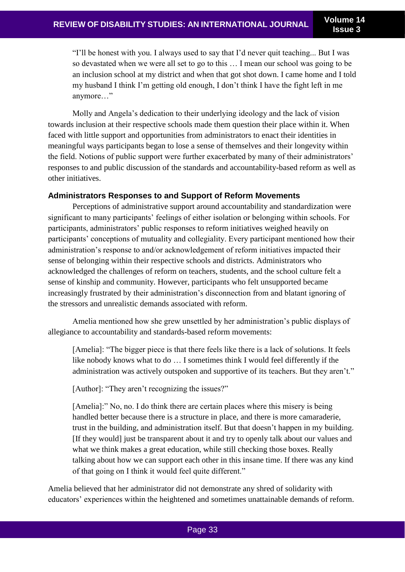"I'll be honest with you. I always used to say that I'd never quit teaching... But I was so devastated when we were all set to go to this … I mean our school was going to be an inclusion school at my district and when that got shot down. I came home and I told my husband I think I'm getting old enough, I don't think I have the fight left in me anymore…"

Molly and Angela's dedication to their underlying ideology and the lack of vision towards inclusion at their respective schools made them question their place within it. When faced with little support and opportunities from administrators to enact their identities in meaningful ways participants began to lose a sense of themselves and their longevity within the field. Notions of public support were further exacerbated by many of their administrators' responses to and public discussion of the standards and accountability-based reform as well as other initiatives.

#### **Administrators Responses to and Support of Reform Movements**

Perceptions of administrative support around accountability and standardization were significant to many participants' feelings of either isolation or belonging within schools. For participants, administrators' public responses to reform initiatives weighed heavily on participants' conceptions of mutuality and collegiality. Every participant mentioned how their administration's response to and/or acknowledgement of reform initiatives impacted their sense of belonging within their respective schools and districts. Administrators who acknowledged the challenges of reform on teachers, students, and the school culture felt a sense of kinship and community. However, participants who felt unsupported became increasingly frustrated by their administration's disconnection from and blatant ignoring of the stressors and unrealistic demands associated with reform.

Amelia mentioned how she grew unsettled by her administration's public displays of allegiance to accountability and standards-based reform movements:

[Amelia]: "The bigger piece is that there feels like there is a lack of solutions. It feels like nobody knows what to do … I sometimes think I would feel differently if the administration was actively outspoken and supportive of its teachers. But they aren't."

[Author]: "They aren't recognizing the issues?"

[Amelia]:" No, no. I do think there are certain places where this misery is being handled better because there is a structure in place, and there is more camaraderie, trust in the building, and administration itself. But that doesn't happen in my building. [If they would] just be transparent about it and try to openly talk about our values and what we think makes a great education, while still checking those boxes. Really talking about how we can support each other in this insane time. If there was any kind of that going on I think it would feel quite different."

Amelia believed that her administrator did not demonstrate any shred of solidarity with educators' experiences within the heightened and sometimes unattainable demands of reform.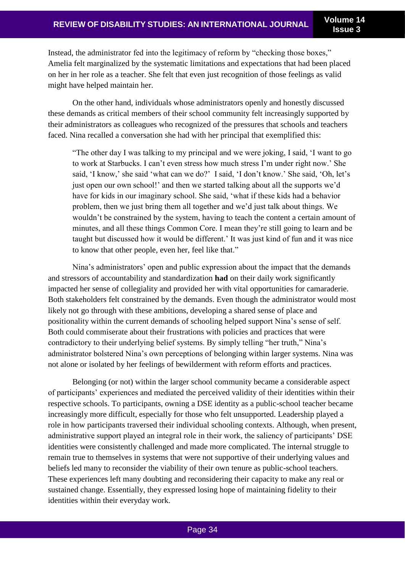Instead, the administrator fed into the legitimacy of reform by "checking those boxes," Amelia felt marginalized by the systematic limitations and expectations that had been placed on her in her role as a teacher. She felt that even just recognition of those feelings as valid might have helped maintain her.

On the other hand, individuals whose administrators openly and honestly discussed these demands as critical members of their school community felt increasingly supported by their administrators as colleagues who recognized of the pressures that schools and teachers faced. Nina recalled a conversation she had with her principal that exemplified this:

"The other day I was talking to my principal and we were joking, I said, 'I want to go to work at Starbucks. I can't even stress how much stress I'm under right now.' She said, 'I know,' she said 'what can we do?' I said, 'I don't know.' She said, 'Oh, let's just open our own school!' and then we started talking about all the supports we'd have for kids in our imaginary school. She said, 'what if these kids had a behavior problem, then we just bring them all together and we'd just talk about things. We wouldn't be constrained by the system, having to teach the content a certain amount of minutes, and all these things Common Core. I mean they're still going to learn and be taught but discussed how it would be different.' It was just kind of fun and it was nice to know that other people, even her, feel like that."

Nina's administrators' open and public expression about the impact that the demands and stressors of accountability and standardization **had** on their daily work significantly impacted her sense of collegiality and provided her with vital opportunities for camaraderie. Both stakeholders felt constrained by the demands. Even though the administrator would most likely not go through with these ambitions, developing a shared sense of place and positionality within the current demands of schooling helped support Nina's sense of self. Both could commiserate about their frustrations with policies and practices that were contradictory to their underlying belief systems. By simply telling "her truth," Nina's administrator bolstered Nina's own perceptions of belonging within larger systems. Nina was not alone or isolated by her feelings of bewilderment with reform efforts and practices.

Belonging (or not) within the larger school community became a considerable aspect of participants' experiences and mediated the perceived validity of their identities within their respective schools. To participants, owning a DSE identity as a public-school teacher became increasingly more difficult, especially for those who felt unsupported. Leadership played a role in how participants traversed their individual schooling contexts. Although, when present, administrative support played an integral role in their work, the saliency of participants' DSE identities were consistently challenged and made more complicated. The internal struggle to remain true to themselves in systems that were not supportive of their underlying values and beliefs led many to reconsider the viability of their own tenure as public-school teachers. These experiences left many doubting and reconsidering their capacity to make any real or sustained change. Essentially, they expressed losing hope of maintaining fidelity to their identities within their everyday work.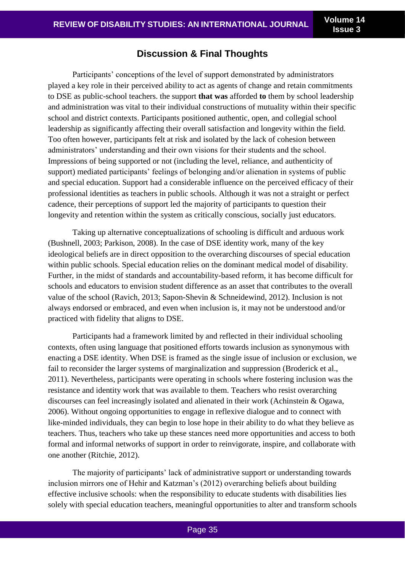# **Discussion & Final Thoughts**

Participants' conceptions of the level of support demonstrated by administrators played a key role in their perceived ability to act as agents of change and retain commitments to DSE as public-school teachers. the support **that was** afforded **to** them by school leadership and administration was vital to their individual constructions of mutuality within their specific school and district contexts. Participants positioned authentic, open, and collegial school leadership as significantly affecting their overall satisfaction and longevity within the field. Too often however, participants felt at risk and isolated by the lack of cohesion between administrators' understanding and their own visions for their students and the school. Impressions of being supported or not (including the level, reliance, and authenticity of support) mediated participants' feelings of belonging and/or alienation in systems of public and special education. Support had a considerable influence on the perceived efficacy of their professional identities as teachers in public schools. Although it was not a straight or perfect cadence, their perceptions of support led the majority of participants to question their longevity and retention within the system as critically conscious, socially just educators.

Taking up alternative conceptualizations of schooling is difficult and arduous work (Bushnell, 2003; Parkison, 2008). In the case of DSE identity work, many of the key ideological beliefs are in direct opposition to the overarching discourses of special education within public schools. Special education relies on the dominant medical model of disability. Further, in the midst of standards and accountability-based reform, it has become difficult for schools and educators to envision student difference as an asset that contributes to the overall value of the school (Ravich, 2013; Sapon-Shevin & Schneidewind, 2012). Inclusion is not always endorsed or embraced, and even when inclusion is, it may not be understood and/or practiced with fidelity that aligns to DSE.

Participants had a framework limited by and reflected in their individual schooling contexts, often using language that positioned efforts towards inclusion as synonymous with enacting a DSE identity. When DSE is framed as the single issue of inclusion or exclusion, we fail to reconsider the larger systems of marginalization and suppression (Broderick et al., 2011). Nevertheless, participants were operating in schools where fostering inclusion was the resistance and identity work that was available to them. Teachers who resist overarching discourses can feel increasingly isolated and alienated in their work (Achinstein & Ogawa, 2006). Without ongoing opportunities to engage in reflexive dialogue and to connect with like-minded individuals, they can begin to lose hope in their ability to do what they believe as teachers. Thus, teachers who take up these stances need more opportunities and access to both formal and informal networks of support in order to reinvigorate, inspire, and collaborate with one another (Ritchie, 2012).

The majority of participants' lack of administrative support or understanding towards inclusion mirrors one of Hehir and Katzman's (2012) overarching beliefs about building effective inclusive schools: when the responsibility to educate students with disabilities lies solely with special education teachers, meaningful opportunities to alter and transform schools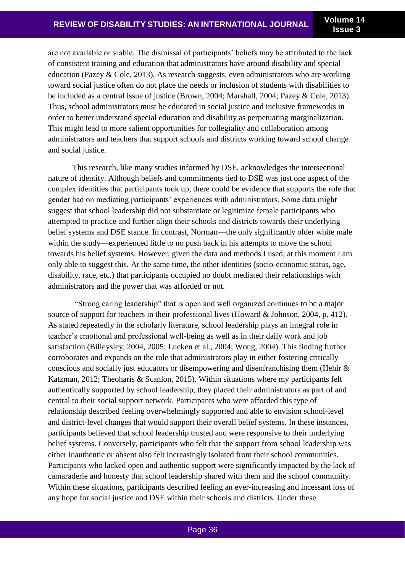are not available or viable. The dismissal of participants' beliefs may be attributed to the lack of consistent training and education that administrators have around disability and special education (Pazey & Cole, 2013). As research suggests, even administrators who are working toward social justice often do not place the needs or inclusion of students with disabilities to be included as a central issue of justice (Brown, 2004; Marshall, 2004; Pazey & Cole, 2013). Thus, school administrators must be educated in social justice and inclusive frameworks in order to better understand special education and disability as perpetuating marginalization. This might lead to more salient opportunities for collegiality and collaboration among administrators and teachers that support schools and districts working toward school change and social justice.

This research, like many studies informed by DSE, acknowledges the intersectional nature of identity. Although beliefs and commitments tied to DSE was just one aspect of the complex identities that participants took up, there could be evidence that supports the role that gender had on mediating participants' experiences with administrators. Some data might suggest that school leadership did not substantiate or legitimize female participants who attempted to practice and further align their schools and districts towards their underlying belief systems and DSE stance. In contrast, Norman—the only significantly older white male within the study—experienced little to no push back in his attempts to move the school towards his belief systems. However, given the data and methods I used, at this moment I am only able to suggest this. At the same time, the other identities (socio-economic status, age, disability, race, etc.) that participants occupied no doubt mediated their relationships with administrators and the power that was afforded or not.

"Strong caring leadership" that is open and well organized continues to be a major source of support for teachers in their professional lives (Howard & Johnson, 2004, p. 412). As stated repeatedly in the scholarly literature, school leadership plays an integral role in teacher's emotional and professional well-being as well as in their daily work and job satisfaction (Billeysley, 2004, 2005; Lueken et al., 2004; Wong, 2004). This finding further corroborates and expands on the role that administrators play in either fostering critically conscious and socially just educators or disempowering and disenfranchising them (Hehir & Katzman, 2012; Theoharis & Scanlon, 2015). Within situations where my participants felt authentically supported by school leadership, they placed their administrators as part of and central to their social support network. Participants who were afforded this type of relationship described feeling overwhelmingly supported and able to envision school-level and district-level changes that would support their overall belief systems. In these instances, participants believed that school leadership trusted and were responsive to their underlying belief systems. Conversely, participants who felt that the support from school leadership was either inauthentic or absent also felt increasingly isolated from their school communities. Participants who lacked open and authentic support were significantly impacted by the lack of camaraderie and honesty that school leadership shared with them and the school community. Within these situations, participants described feeling an ever-increasing and incessant loss of any hope for social justice and DSE within their schools and districts. Under these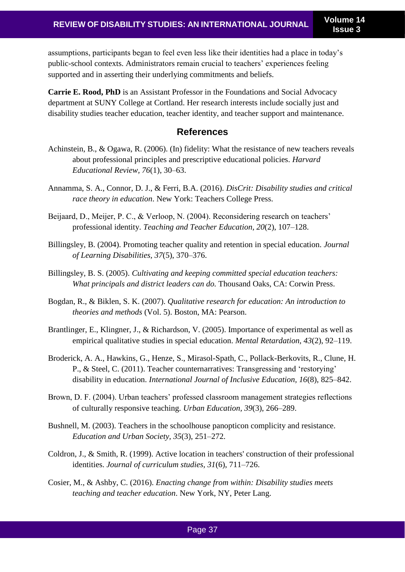assumptions, participants began to feel even less like their identities had a place in today's public-school contexts. Administrators remain crucial to teachers' experiences feeling supported and in asserting their underlying commitments and beliefs.

**Carrie E. Rood, PhD** is an Assistant Professor in the Foundations and Social Advocacy department at SUNY College at Cortland. Her research interests include socially just and disability studies teacher education, teacher identity, and teacher support and maintenance.

## **References**

- Achinstein, B., & Ogawa, R. (2006). (In) fidelity: What the resistance of new teachers reveals about professional principles and prescriptive educational policies. *Harvard Educational Review, 76*(1), 30–63.
- Annamma, S. A., Connor, D. J., & Ferri, B.A. (2016). *DisCrit: Disability studies and critical race theory in education*. New York: Teachers College Press.
- Beijaard, D., Meijer, P. C., & Verloop, N. (2004). Reconsidering research on teachers' professional identity. *Teaching and Teacher Education, 20*(2), 107–128.
- Billingsley, B. (2004). Promoting teacher quality and retention in special education. *Journal of Learning Disabilities, 37*(5), 370–376.
- Billingsley, B. S. (2005). *Cultivating and keeping committed special education teachers: What principals and district leaders can do.* Thousand Oaks, CA: Corwin Press.
- Bogdan, R., & Biklen, S. K. (2007). *Qualitative research for education: An introduction to theories and methods* (Vol. 5). Boston, MA: Pearson.
- Brantlinger, E., Klingner, J., & Richardson, V. (2005). Importance of experimental as well as empirical qualitative studies in special education. *Mental Retardation, 43*(2), 92–119.
- Broderick, A. A., Hawkins, G., Henze, S., Mirasol-Spath, C., Pollack-Berkovits, R., Clune, H. P., & Steel, C. (2011). Teacher counternarratives: Transgressing and 'restorying' disability in education. *International Journal of Inclusive Education, 16*(8), 825–842.
- Brown, D. F. (2004). Urban teachers' professed classroom management strategies reflections of culturally responsive teaching. *Urban Education, 39*(3), 266–289.
- Bushnell, M. (2003). Teachers in the schoolhouse panopticon complicity and resistance. *Education and Urban Society, 35*(3), 251–272.
- Coldron, J., & Smith, R. (1999). Active location in teachers' construction of their professional identities. *Journal of curriculum studies, 31*(6), 711–726.
- Cosier, M., & Ashby, C. (2016). *Enacting change from within: Disability studies meets teaching and teacher education*. New York, NY, Peter Lang.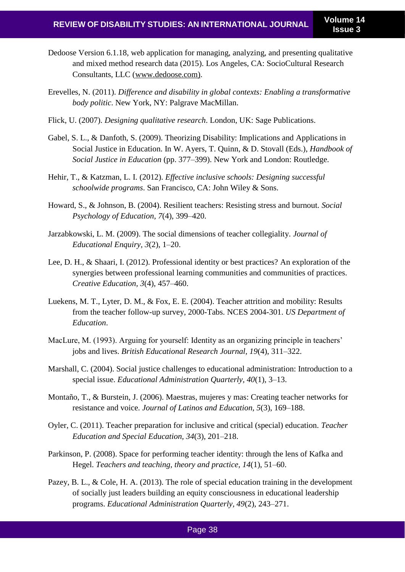- Dedoose Version 6.1.18, web application for managing, analyzing, and presenting qualitative and mixed method research data (2015). Los Angeles, CA: SocioCultural Research Consultants, LLC (www.dedoose.com).
- Erevelles, N. (2011). *Difference and disability in global contexts: Enabling a transformative body politic*. New York, NY: Palgrave MacMillan.
- Flick, U. (2007). *Designing qualitative research*. London, UK: Sage Publications.
- Gabel, S. L., & Danfoth, S. (2009). Theorizing Disability: Implications and Applications in Social Justice in Education. In W. Ayers, T. Quinn, & D. Stovall (Eds.), *Handbook of Social Justice in Education* (pp. 377–399). New York and London: Routledge.
- Hehir, T., & Katzman, L. I. (2012). *Effective inclusive schools: Designing successful schoolwide programs*. San Francisco, CA: John Wiley & Sons.
- Howard, S., & Johnson, B. (2004). Resilient teachers: Resisting stress and burnout. *Social Psychology of Education, 7*(4), 399–420.
- Jarzabkowski, L. M. (2009). The social dimensions of teacher collegiality. *Journal of Educational Enquiry, 3*(2), 1–20.
- Lee, D. H., & Shaari, I. (2012). Professional identity or best practices? An exploration of the synergies between professional learning communities and communities of practices. *Creative Education, 3*(4), 457–460.
- Luekens, M. T., Lyter, D. M., & Fox, E. E. (2004). Teacher attrition and mobility: Results from the teacher follow-up survey, 2000-Tabs. NCES 2004-301. *US Department of Education*.
- MacLure, M. (1993). Arguing for yourself: Identity as an organizing principle in teachers' jobs and lives. *British Educational Research Journal, 19*(4), 311–322.
- Marshall, C. (2004). Social justice challenges to educational administration: Introduction to a special issue. *Educational Administration Quarterly, 40*(1), 3–13.
- Montaño, T., & Burstein, J. (2006). Maestras, mujeres y mas: Creating teacher networks for resistance and voice. *Journal of Latinos and Education, 5*(3), 169–188.
- Oyler, C. (2011). Teacher preparation for inclusive and critical (special) education. *Teacher Education and Special Education, 34*(3), 201–218.
- Parkinson, P. (2008). Space for performing teacher identity: through the lens of Kafka and Hegel. *Teachers and teaching, theory and practice, 14*(1), 51–60.
- Pazey, B. L., & Cole, H. A. (2013). The role of special education training in the development of socially just leaders building an equity consciousness in educational leadership programs. *Educational Administration Quarterly, 49*(2), 243–271.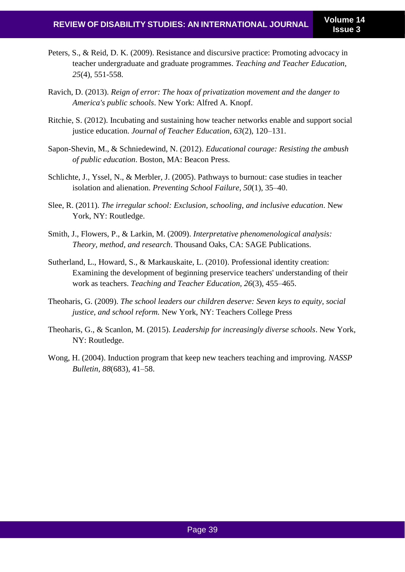- Peters, S., & Reid, D. K. (2009). Resistance and discursive practice: Promoting advocacy in teacher undergraduate and graduate programmes. *Teaching and Teacher Education, 25*(4), 551-558.
- Ravich, D. (2013). *Reign of error: The hoax of privatization movement and the danger to America's public schools*. New York: Alfred A. Knopf.
- Ritchie, S. (2012). Incubating and sustaining how teacher networks enable and support social justice education. *Journal of Teacher Education, 63*(2), 120–131.
- Sapon-Shevin, M., & Schniedewind, N. (2012). *Educational courage: Resisting the ambush of public education*. Boston, MA: Beacon Press.
- Schlichte, J., Yssel, N., & Merbler, J. (2005). Pathways to burnout: case studies in teacher isolation and alienation. *Preventing School Failure, 50*(1), 35–40.
- Slee, R. (2011). *The irregular school: Exclusion, schooling, and inclusive education*. New York, NY: Routledge.
- Smith, J., Flowers, P., & Larkin, M. (2009). *Interpretative phenomenological analysis: Theory, method, and research*. Thousand Oaks, CA: SAGE Publications.
- Sutherland, L., Howard, S., & Markauskaite, L. (2010). Professional identity creation: Examining the development of beginning preservice teachers' understanding of their work as teachers. *Teaching and Teacher Education, 26*(3), 455–465.
- Theoharis, G. (2009). *The school leaders our children deserve: Seven keys to equity, social justice, and school reform.* New York, NY: Teachers College Press
- Theoharis, G., & Scanlon, M. (2015). *Leadership for increasingly diverse schools*. New York, NY: Routledge.
- Wong, H. (2004). Induction program that keep new teachers teaching and improving. *NASSP Bulletin, 88*(683), 41–58.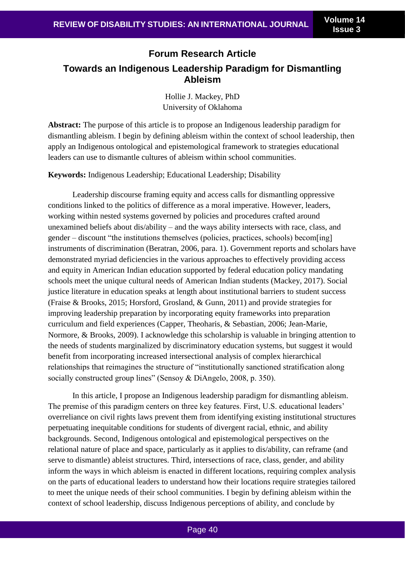# **Forum Research Article Towards an Indigenous Leadership Paradigm for Dismantling Ableism**

Hollie J. Mackey, PhD University of Oklahoma

**Abstract:** The purpose of this article is to propose an Indigenous leadership paradigm for dismantling ableism. I begin by defining ableism within the context of school leadership, then apply an Indigenous ontological and epistemological framework to strategies educational leaders can use to dismantle cultures of ableism within school communities.

**Keywords:** Indigenous Leadership; Educational Leadership; Disability

Leadership discourse framing equity and access calls for dismantling oppressive conditions linked to the politics of difference as a moral imperative. However, leaders, working within nested systems governed by policies and procedures crafted around unexamined beliefs about dis/ability – and the ways ability intersects with race, class, and gender – discount "the institutions themselves (policies, practices, schools) becom[ing] instruments of discrimination (Beratran, 2006, para. 1). Government reports and scholars have demonstrated myriad deficiencies in the various approaches to effectively providing access and equity in American Indian education supported by federal education policy mandating schools meet the unique cultural needs of American Indian students (Mackey, 2017). Social justice literature in education speaks at length about institutional barriers to student success (Fraise & Brooks, 2015; Horsford, Grosland, & Gunn, 2011) and provide strategies for improving leadership preparation by incorporating equity frameworks into preparation curriculum and field experiences (Capper, Theoharis, & Sebastian, 2006; Jean-Marie, Normore, & Brooks, 2009). I acknowledge this scholarship is valuable in bringing attention to the needs of students marginalized by discriminatory education systems, but suggest it would benefit from incorporating increased intersectional analysis of complex hierarchical relationships that reimagines the structure of "institutionally sanctioned stratification along socially constructed group lines" (Sensoy & DiAngelo, 2008, p. 350).

In this article, I propose an Indigenous leadership paradigm for dismantling ableism. The premise of this paradigm centers on three key features. First, U.S. educational leaders' overreliance on civil rights laws prevent them from identifying existing institutional structures perpetuating inequitable conditions for students of divergent racial, ethnic, and ability backgrounds. Second, Indigenous ontological and epistemological perspectives on the relational nature of place and space, particularly as it applies to dis/ability, can reframe (and serve to dismantle) ableist structures. Third, intersections of race, class, gender, and ability inform the ways in which ableism is enacted in different locations, requiring complex analysis on the parts of educational leaders to understand how their locations require strategies tailored to meet the unique needs of their school communities. I begin by defining ableism within the context of school leadership, discuss Indigenous perceptions of ability, and conclude by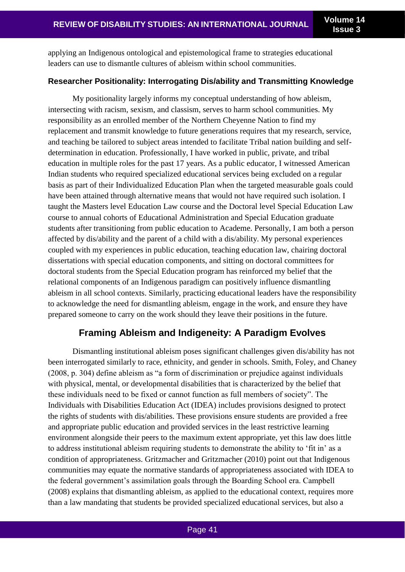applying an Indigenous ontological and epistemological frame to strategies educational leaders can use to dismantle cultures of ableism within school communities.

#### **Researcher Positionality: Interrogating Dis/ability and Transmitting Knowledge**

My positionality largely informs my conceptual understanding of how ableism, intersecting with racism, sexism, and classism, serves to harm school communities. My responsibility as an enrolled member of the Northern Cheyenne Nation to find my replacement and transmit knowledge to future generations requires that my research, service, and teaching be tailored to subject areas intended to facilitate Tribal nation building and selfdetermination in education. Professionally, I have worked in public, private, and tribal education in multiple roles for the past 17 years. As a public educator, I witnessed American Indian students who required specialized educational services being excluded on a regular basis as part of their Individualized Education Plan when the targeted measurable goals could have been attained through alternative means that would not have required such isolation. I taught the Masters level Education Law course and the Doctoral level Special Education Law course to annual cohorts of Educational Administration and Special Education graduate students after transitioning from public education to Academe. Personally, I am both a person affected by dis/ability and the parent of a child with a dis/ability. My personal experiences coupled with my experiences in public education, teaching education law, chairing doctoral dissertations with special education components, and sitting on doctoral committees for doctoral students from the Special Education program has reinforced my belief that the relational components of an Indigenous paradigm can positively influence dismantling ableism in all school contexts. Similarly, practicing educational leaders have the responsibility to acknowledge the need for dismantling ableism, engage in the work, and ensure they have prepared someone to carry on the work should they leave their positions in the future.

## **Framing Ableism and Indigeneity: A Paradigm Evolves**

Dismantling institutional ableism poses significant challenges given dis/ability has not been interrogated similarly to race, ethnicity, and gender in schools. Smith, Foley, and Chaney (2008, p. 304) define ableism as "a form of discrimination or prejudice against individuals with physical, mental, or developmental disabilities that is characterized by the belief that these individuals need to be fixed or cannot function as full members of society". The Individuals with Disabilities Education Act (IDEA) includes provisions designed to protect the rights of students with dis/abilities. These provisions ensure students are provided a free and appropriate public education and provided services in the least restrictive learning environment alongside their peers to the maximum extent appropriate, yet this law does little to address institutional ableism requiring students to demonstrate the ability to 'fit in' as a condition of appropriateness. Gritzmacher and Gritzmacher (2010) point out that Indigenous communities may equate the normative standards of appropriateness associated with IDEA to the federal government's assimilation goals through the Boarding School era. Campbell (2008) explains that dismantling ableism, as applied to the educational context, requires more than a law mandating that students be provided specialized educational services, but also a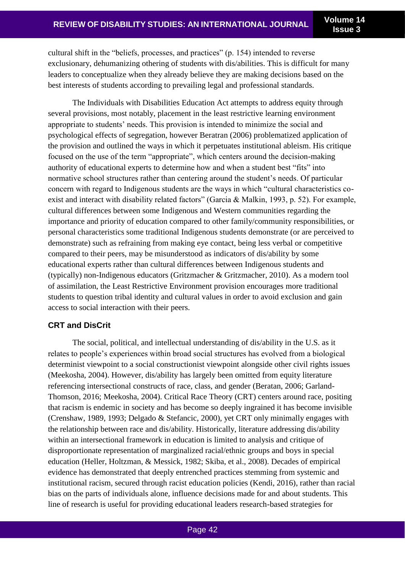cultural shift in the "beliefs, processes, and practices" (p. 154) intended to reverse exclusionary, dehumanizing othering of students with dis/abilities. This is difficult for many leaders to conceptualize when they already believe they are making decisions based on the best interests of students according to prevailing legal and professional standards.

The Individuals with Disabilities Education Act attempts to address equity through several provisions, most notably, placement in the least restrictive learning environment appropriate to students' needs. This provision is intended to minimize the social and psychological effects of segregation, however Beratran (2006) problematized application of the provision and outlined the ways in which it perpetuates institutional ableism. His critique focused on the use of the term "appropriate", which centers around the decision-making authority of educational experts to determine how and when a student best "fits" into normative school structures rather than centering around the student's needs. Of particular concern with regard to Indigenous students are the ways in which "cultural characteristics coexist and interact with disability related factors" (Garcia & Malkin, 1993, p. 52). For example, cultural differences between some Indigenous and Western communities regarding the importance and priority of education compared to other family/community responsibilities, or personal characteristics some traditional Indigenous students demonstrate (or are perceived to demonstrate) such as refraining from making eye contact, being less verbal or competitive compared to their peers, may be misunderstood as indicators of dis/ability by some educational experts rather than cultural differences between Indigenous students and (typically) non-Indigenous educators (Gritzmacher & Gritzmacher, 2010). As a modern tool of assimilation, the Least Restrictive Environment provision encourages more traditional students to question tribal identity and cultural values in order to avoid exclusion and gain access to social interaction with their peers.

## **CRT and DisCrit**

The social, political, and intellectual understanding of dis/ability in the U.S. as it relates to people's experiences within broad social structures has evolved from a biological determinist viewpoint to a social constructionist viewpoint alongside other civil rights issues (Meekosha, 2004). However, dis/ability has largely been omitted from equity literature referencing intersectional constructs of race, class, and gender (Beratan, 2006; Garland-Thomson, 2016; Meekosha, 2004). Critical Race Theory (CRT) centers around race, positing that racism is endemic in society and has become so deeply ingrained it has become invisible (Crenshaw, 1989, 1993; Delgado & Stefancic, 2000), yet CRT only minimally engages with the relationship between race and dis/ability. Historically, literature addressing dis/ability within an intersectional framework in education is limited to analysis and critique of disproportionate representation of marginalized racial/ethnic groups and boys in special education (Heller, Holtzman, & Messick, 1982; Skiba, et al., 2008). Decades of empirical evidence has demonstrated that deeply entrenched practices stemming from systemic and institutional racism, secured through racist education policies (Kendi, 2016), rather than racial bias on the parts of individuals alone, influence decisions made for and about students. This line of research is useful for providing educational leaders research-based strategies for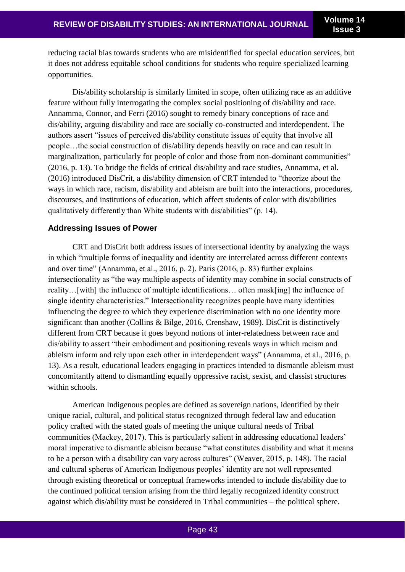reducing racial bias towards students who are misidentified for special education services, but it does not address equitable school conditions for students who require specialized learning opportunities.

Dis/ability scholarship is similarly limited in scope, often utilizing race as an additive feature without fully interrogating the complex social positioning of dis/ability and race. Annamma, Connor, and Ferri (2016) sought to remedy binary conceptions of race and dis/ability, arguing dis/ability and race are socially co-constructed and interdependent. The authors assert "issues of perceived dis/ability constitute issues of equity that involve all people…the social construction of dis/ability depends heavily on race and can result in marginalization, particularly for people of color and those from non-dominant communities" (2016, p. 13). To bridge the fields of critical dis/ability and race studies, Annamma, et al. (2016) introduced DisCrit, a dis/ability dimension of CRT intended to "theorize about the ways in which race, racism, dis/ability and ableism are built into the interactions, procedures, discourses, and institutions of education, which affect students of color with dis/abilities qualitatively differently than White students with dis/abilities" (p. 14).

#### **Addressing Issues of Power**

CRT and DisCrit both address issues of intersectional identity by analyzing the ways in which "multiple forms of inequality and identity are interrelated across different contexts and over time" (Annamma, et al., 2016, p. 2). Paris (2016, p. 83) further explains intersectionality as "the way multiple aspects of identity may combine in social constructs of reality…[with] the influence of multiple identifications… often mask[ing] the influence of single identity characteristics." Intersectionality recognizes people have many identities influencing the degree to which they experience discrimination with no one identity more significant than another (Collins & Bilge, 2016, Crenshaw, 1989). DisCrit is distinctively different from CRT because it goes beyond notions of inter-relatedness between race and dis/ability to assert "their embodiment and positioning reveals ways in which racism and ableism inform and rely upon each other in interdependent ways" (Annamma, et al., 2016, p. 13). As a result, educational leaders engaging in practices intended to dismantle ableism must concomitantly attend to dismantling equally oppressive racist, sexist, and classist structures within schools.

American Indigenous peoples are defined as sovereign nations, identified by their unique racial, cultural, and political status recognized through federal law and education policy crafted with the stated goals of meeting the unique cultural needs of Tribal communities (Mackey, 2017). This is particularly salient in addressing educational leaders' moral imperative to dismantle ableism because "what constitutes disability and what it means to be a person with a disability can vary across cultures" (Weaver, 2015, p. 148). The racial and cultural spheres of American Indigenous peoples' identity are not well represented through existing theoretical or conceptual frameworks intended to include dis/ability due to the continued political tension arising from the third legally recognized identity construct against which dis/ability must be considered in Tribal communities – the political sphere.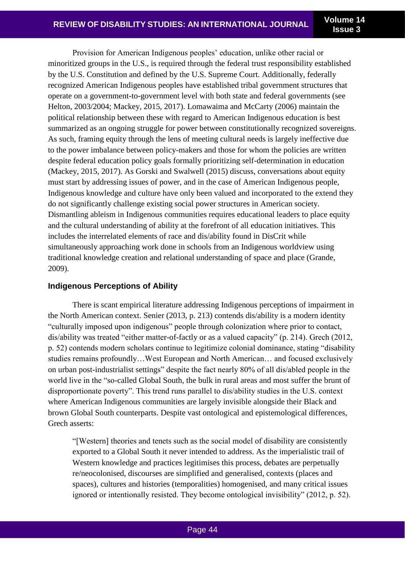Provision for American Indigenous peoples' education, unlike other racial or minoritized groups in the U.S., is required through the federal trust responsibility established by the U.S. Constitution and defined by the U.S. Supreme Court. Additionally, federally recognized American Indigenous peoples have established tribal government structures that operate on a government-to-government level with both state and federal governments (see Helton, 2003/2004; Mackey, 2015, 2017). Lomawaima and McCarty (2006) maintain the political relationship between these with regard to American Indigenous education is best summarized as an ongoing struggle for power between constitutionally recognized sovereigns. As such, framing equity through the lens of meeting cultural needs is largely ineffective due to the power imbalance between policy-makers and those for whom the policies are written despite federal education policy goals formally prioritizing self-determination in education (Mackey, 2015, 2017). As Gorski and Swalwell (2015) discuss, conversations about equity must start by addressing issues of power, and in the case of American Indigenous people, Indigenous knowledge and culture have only been valued and incorporated to the extend they do not significantly challenge existing social power structures in American society. Dismantling ableism in Indigenous communities requires educational leaders to place equity and the cultural understanding of ability at the forefront of all education initiatives. This includes the interrelated elements of race and dis/ability found in DisCrit while simultaneously approaching work done in schools from an Indigenous worldview using traditional knowledge creation and relational understanding of space and place (Grande, 2009).

## **Indigenous Perceptions of Ability**

There is scant empirical literature addressing Indigenous perceptions of impairment in the North American context. Senier (2013, p. 213) contends dis/ability is a modern identity "culturally imposed upon indigenous" people through colonization where prior to contact, dis/ability was treated "either matter-of-factly or as a valued capacity" (p. 214). Grech (2012, p. 52) contends modern scholars continue to legitimize colonial dominance, stating "disability studies remains profoundly…West European and North American… and focused exclusively on urban post-industrialist settings" despite the fact nearly 80% of all dis/abled people in the world live in the "so-called Global South, the bulk in rural areas and most suffer the brunt of disproportionate poverty". This trend runs parallel to dis/ability studies in the U.S. context where American Indigenous communities are largely invisible alongside their Black and brown Global South counterparts. Despite vast ontological and epistemological differences, Grech asserts:

"[Western] theories and tenets such as the social model of disability are consistently exported to a Global South it never intended to address. As the imperialistic trail of Western knowledge and practices legitimises this process, debates are perpetually re/neocolonised, discourses are simplified and generalised, contexts (places and spaces), cultures and histories (temporalities) homogenised, and many critical issues ignored or intentionally resisted. They become ontological invisibility" (2012, p. 52).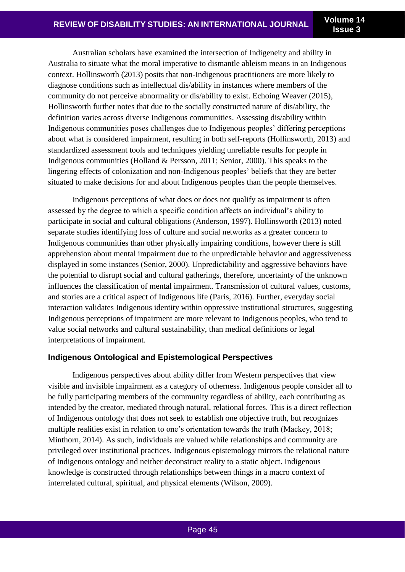**Issue 3**

Australian scholars have examined the intersection of Indigeneity and ability in Australia to situate what the moral imperative to dismantle ableism means in an Indigenous context. Hollinsworth (2013) posits that non-Indigenous practitioners are more likely to diagnose conditions such as intellectual dis/ability in instances where members of the community do not perceive abnormality or dis/ability to exist. Echoing Weaver (2015), Hollinsworth further notes that due to the socially constructed nature of dis/ability, the definition varies across diverse Indigenous communities. Assessing dis/ability within Indigenous communities poses challenges due to Indigenous peoples' differing perceptions about what is considered impairment, resulting in both self-reports (Hollinsworth, 2013) and standardized assessment tools and techniques yielding unreliable results for people in Indigenous communities (Holland & Persson, 2011; Senior, 2000). This speaks to the lingering effects of colonization and non-Indigenous peoples' beliefs that they are better situated to make decisions for and about Indigenous peoples than the people themselves.

Indigenous perceptions of what does or does not qualify as impairment is often assessed by the degree to which a specific condition affects an individual's ability to participate in social and cultural obligations (Anderson, 1997). Hollinsworth (2013) noted separate studies identifying loss of culture and social networks as a greater concern to Indigenous communities than other physically impairing conditions, however there is still apprehension about mental impairment due to the unpredictable behavior and aggressiveness displayed in some instances (Senior, 2000). Unpredictability and aggressive behaviors have the potential to disrupt social and cultural gatherings, therefore, uncertainty of the unknown influences the classification of mental impairment. Transmission of cultural values, customs, and stories are a critical aspect of Indigenous life (Paris, 2016). Further, everyday social interaction validates Indigenous identity within oppressive institutional structures, suggesting Indigenous perceptions of impairment are more relevant to Indigenous peoples, who tend to value social networks and cultural sustainability, than medical definitions or legal interpretations of impairment.

## **Indigenous Ontological and Epistemological Perspectives**

Indigenous perspectives about ability differ from Western perspectives that view visible and invisible impairment as a category of otherness. Indigenous people consider all to be fully participating members of the community regardless of ability, each contributing as intended by the creator, mediated through natural, relational forces. This is a direct reflection of Indigenous ontology that does not seek to establish one objective truth, but recognizes multiple realities exist in relation to one's orientation towards the truth (Mackey, 2018; Minthorn, 2014). As such, individuals are valued while relationships and community are privileged over institutional practices. Indigenous epistemology mirrors the relational nature of Indigenous ontology and neither deconstruct reality to a static object. Indigenous knowledge is constructed through relationships between things in a macro context of interrelated cultural, spiritual, and physical elements (Wilson, 2009).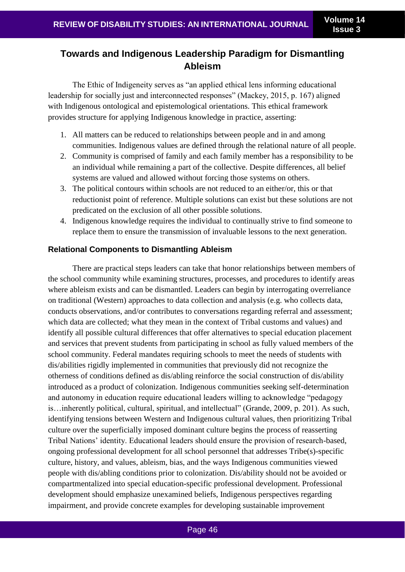# **Towards and Indigenous Leadership Paradigm for Dismantling Ableism**

The Ethic of Indigeneity serves as "an applied ethical lens informing educational leadership for socially just and interconnected responses" (Mackey, 2015, p. 167) aligned with Indigenous ontological and epistemological orientations. This ethical framework provides structure for applying Indigenous knowledge in practice, asserting:

- 1. All matters can be reduced to relationships between people and in and among communities. Indigenous values are defined through the relational nature of all people.
- 2. Community is comprised of family and each family member has a responsibility to be an individual while remaining a part of the collective. Despite differences, all belief systems are valued and allowed without forcing those systems on others.
- 3. The political contours within schools are not reduced to an either/or, this or that reductionist point of reference. Multiple solutions can exist but these solutions are not predicated on the exclusion of all other possible solutions.
- 4. Indigenous knowledge requires the individual to continually strive to find someone to replace them to ensure the transmission of invaluable lessons to the next generation.

## **Relational Components to Dismantling Ableism**

There are practical steps leaders can take that honor relationships between members of the school community while examining structures, processes, and procedures to identify areas where ableism exists and can be dismantled. Leaders can begin by interrogating overreliance on traditional (Western) approaches to data collection and analysis (e.g. who collects data, conducts observations, and/or contributes to conversations regarding referral and assessment; which data are collected; what they mean in the context of Tribal customs and values) and identify all possible cultural differences that offer alternatives to special education placement and services that prevent students from participating in school as fully valued members of the school community. Federal mandates requiring schools to meet the needs of students with dis/abilities rigidly implemented in communities that previously did not recognize the otherness of conditions defined as dis/abling reinforce the social construction of dis/ability introduced as a product of colonization. Indigenous communities seeking self-determination and autonomy in education require educational leaders willing to acknowledge "pedagogy is…inherently political, cultural, spiritual, and intellectual" (Grande, 2009, p. 201). As such, identifying tensions between Western and Indigenous cultural values, then prioritizing Tribal culture over the superficially imposed dominant culture begins the process of reasserting Tribal Nations' identity. Educational leaders should ensure the provision of research-based, ongoing professional development for all school personnel that addresses Tribe(s)-specific culture, history, and values, ableism, bias, and the ways Indigenous communities viewed people with dis/abling conditions prior to colonization. Dis/ability should not be avoided or compartmentalized into special education-specific professional development. Professional development should emphasize unexamined beliefs, Indigenous perspectives regarding impairment, and provide concrete examples for developing sustainable improvement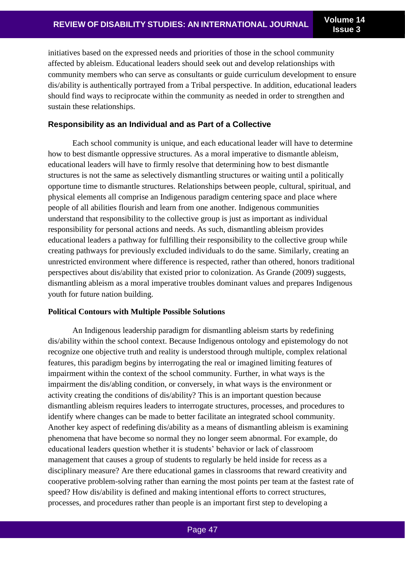initiatives based on the expressed needs and priorities of those in the school community affected by ableism. Educational leaders should seek out and develop relationships with community members who can serve as consultants or guide curriculum development to ensure dis/ability is authentically portrayed from a Tribal perspective. In addition, educational leaders should find ways to reciprocate within the community as needed in order to strengthen and sustain these relationships.

#### **Responsibility as an Individual and as Part of a Collective**

Each school community is unique, and each educational leader will have to determine how to best dismantle oppressive structures. As a moral imperative to dismantle ableism, educational leaders will have to firmly resolve that determining how to best dismantle structures is not the same as selectively dismantling structures or waiting until a politically opportune time to dismantle structures. Relationships between people, cultural, spiritual, and physical elements all comprise an Indigenous paradigm centering space and place where people of all abilities flourish and learn from one another. Indigenous communities understand that responsibility to the collective group is just as important as individual responsibility for personal actions and needs. As such, dismantling ableism provides educational leaders a pathway for fulfilling their responsibility to the collective group while creating pathways for previously excluded individuals to do the same. Similarly, creating an unrestricted environment where difference is respected, rather than othered, honors traditional perspectives about dis/ability that existed prior to colonization. As Grande (2009) suggests, dismantling ableism as a moral imperative troubles dominant values and prepares Indigenous youth for future nation building.

#### **Political Contours with Multiple Possible Solutions**

An Indigenous leadership paradigm for dismantling ableism starts by redefining dis/ability within the school context. Because Indigenous ontology and epistemology do not recognize one objective truth and reality is understood through multiple, complex relational features, this paradigm begins by interrogating the real or imagined limiting features of impairment within the context of the school community. Further, in what ways is the impairment the dis/abling condition, or conversely, in what ways is the environment or activity creating the conditions of dis/ability? This is an important question because dismantling ableism requires leaders to interrogate structures, processes, and procedures to identify where changes can be made to better facilitate an integrated school community. Another key aspect of redefining dis/ability as a means of dismantling ableism is examining phenomena that have become so normal they no longer seem abnormal. For example, do educational leaders question whether it is students' behavior or lack of classroom management that causes a group of students to regularly be held inside for recess as a disciplinary measure? Are there educational games in classrooms that reward creativity and cooperative problem-solving rather than earning the most points per team at the fastest rate of speed? How dis/ability is defined and making intentional efforts to correct structures, processes, and procedures rather than people is an important first step to developing a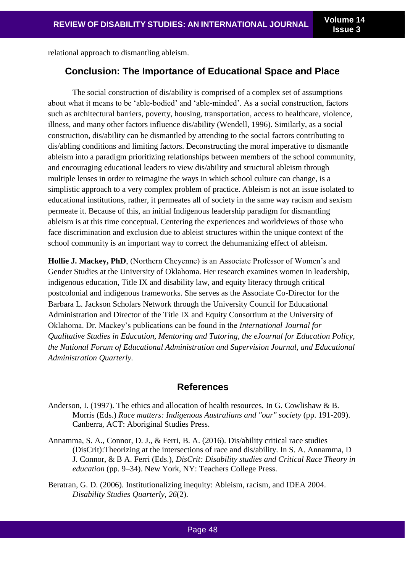relational approach to dismantling ableism.

## **Conclusion: The Importance of Educational Space and Place**

The social construction of dis/ability is comprised of a complex set of assumptions about what it means to be 'able-bodied' and 'able-minded'. As a social construction, factors such as architectural barriers, poverty, housing, transportation, access to healthcare, violence, illness, and many other factors influence dis/ability (Wendell, 1996). Similarly, as a social construction, dis/ability can be dismantled by attending to the social factors contributing to dis/abling conditions and limiting factors. Deconstructing the moral imperative to dismantle ableism into a paradigm prioritizing relationships between members of the school community, and encouraging educational leaders to view dis/ability and structural ableism through multiple lenses in order to reimagine the ways in which school culture can change, is a simplistic approach to a very complex problem of practice. Ableism is not an issue isolated to educational institutions, rather, it permeates all of society in the same way racism and sexism permeate it. Because of this, an initial Indigenous leadership paradigm for dismantling ableism is at this time conceptual. Centering the experiences and worldviews of those who face discrimination and exclusion due to ableist structures within the unique context of the school community is an important way to correct the dehumanizing effect of ableism.

**Hollie J. Mackey, PhD**, (Northern Cheyenne) is an Associate Professor of Women's and Gender Studies at the University of Oklahoma. Her research examines women in leadership, indigenous education, Title IX and disability law, and equity literacy through critical postcolonial and indigenous frameworks. She serves as the Associate Co-Director for the Barbara L. Jackson Scholars Network through the University Council for Educational Administration and Director of the Title IX and Equity Consortium at the University of Oklahoma. Dr. Mackey's publications can be found in the *International Journal for Qualitative Studies in Education, Mentoring and Tutoring, the eJournal for Education Policy, the National Forum of Educational Administration and Supervision Journal, and Educational Administration Quarterly.*

## **References**

- Anderson, I. (1997). The ethics and allocation of health resources. In G. Cowlishaw & B. Morris (Eds.) *Race matters: Indigenous Australians and "our" society* (pp. 191-209). Canberra, ACT: Aboriginal Studies Press.
- Annamma, S. A., Connor, D. J., & Ferri, B. A. (2016). Dis/ability critical race studies (DisCrit):Theorizing at the intersections of race and dis/ability. In S. A. Annamma, D J. Connor, & B A. Ferri (Eds.), *DisCrit: Disability studies and Critical Race Theory in education* (pp. 9–34). New York, NY: Teachers College Press.
- Beratran, G. D. (2006). Institutionalizing inequity: Ableism, racism, and IDEA 2004. *Disability Studies Quarterly*, *26*(2).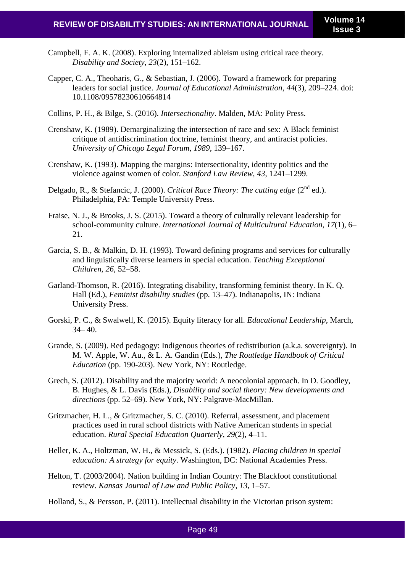- Campbell, F. A. K. (2008). Exploring internalized ableism using critical race theory. *Disability and Society*, *23*(2), 151–162.
- Capper, C. A., Theoharis, G., & Sebastian, J. (2006). Toward a framework for preparing leaders for social justice. *Journal of Educational Administration*, *44*(3), 209–224. doi: 10.1108/09578230610664814
- Collins, P. H., & Bilge, S. (2016). *Intersectionality*. Malden, MA: Polity Press.
- Crenshaw, K. (1989). Demarginalizing the intersection of race and sex: A Black feminist critique of antidiscrimination doctrine, feminist theory, and antiracist policies. *University of Chicago Legal Forum*, *1989*, 139–167.
- Crenshaw, K. (1993). Mapping the margins: Intersectionality, identity politics and the violence against women of color. *Stanford Law Review*, *43*, 1241–1299.
- Delgado, R., & Stefancic, J. (2000). *Critical Race Theory: The cutting edge* (2nd ed.). Philadelphia, PA: Temple University Press.
- Fraise, N. J., & Brooks, J. S. (2015). Toward a theory of culturally relevant leadership for school-community culture. *International Journal of Multicultural Education*, *17*(1), 6– 21.
- Garcia, S. B., & Malkin, D. H. (1993). Toward defining programs and services for culturally and linguistically diverse learners in special education. *Teaching Exceptional Children*, *26*, 52–58.
- Garland-Thomson, R. (2016). Integrating disability, transforming feminist theory. In K. Q. Hall (Ed.), *Feminist disability studies* (pp. 13–47). Indianapolis, IN: Indiana University Press.
- Gorski, P. C., & Swalwell, K. (2015). Equity literacy for all. *Educational Leadership*, March,  $34 - 40.$
- Grande, S. (2009). Red pedagogy: Indigenous theories of redistribution (a.k.a. sovereignty). In M. W. Apple, W. Au., & L. A. Gandin (Eds.), *The Routledge Handbook of Critical Education* (pp. 190-203). New York, NY: Routledge.
- Grech, S. (2012). Disability and the majority world: A neocolonial approach. In D. Goodley, B. Hughes, & L. Davis (Eds.), *Disability and social theory: New developments and directions* (pp. 52–69). New York, NY: Palgrave-MacMillan.
- Gritzmacher, H. L., & Gritzmacher, S. C. (2010). Referral, assessment, and placement practices used in rural school districts with Native American students in special education. *Rural Special Education Quarterly*, *29*(2), 4–11.
- Heller, K. A., Holtzman, W. H., & Messick, S. (Eds.). (1982). *Placing children in special education: A strategy for equity*. Washington, DC: National Academies Press.
- Helton, T. (2003/2004). Nation building in Indian Country: The Blackfoot constitutional review. *Kansas Journal of Law and Public Policy*, *13*, 1–57.
- Holland, S., & Persson, P. (2011). Intellectual disability in the Victorian prison system: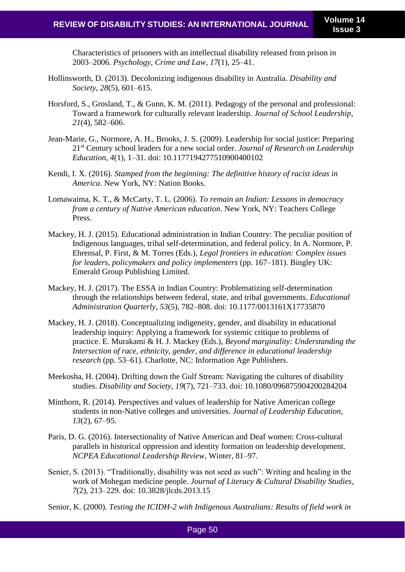Characteristics of prisoners with an intellectual disability released from prison in 2003–2006. *Psychology, Crime and Law*, *17*(1), 25–41.

- Hollinsworth, D. (2013). Decolonizing indigenous disability in Australia. *Disability and Society*, *28*(5), 601–615.
- Horsford, S., Grosland, T., & Gunn, K. M. (2011). Pedagogy of the personal and professional: Toward a framework for culturally relevant leadership. *Journal of School Leadership*, *21*(4), 582–606.
- Jean-Marie, G., Normore, A. H., Brooks, J. S. (2009). Leadership for social justice: Preparing 21st Century school leaders for a new social order. *Journal of Research on Leadership Education*, *4*(1), 1–31. doi: 10.1177194277510900400102
- Kendi, I. X. (2016). *Stamped from the beginning: The definitive history of racist ideas in America*. New York, NY: Nation Books.
- Lomawaima, K. T., & McCarty, T. L. (2006). *To remain an Indian: Lessons in democracy from a century of Native American education*. New York, NY: Teachers College Press.
- Mackey, H. J. (2015). Educational administration in Indian Country: The peculiar position of Indigenous languages, tribal self-determination, and federal policy. In A. Normore, P. Ehrensal, P. First, & M. Torres (Eds.), *Legal frontiers in education: Complex issues for leaders, policymakers and policy implementers* (pp. 167–181). Bingley UK: Emerald Group Publishing Limited.
- Mackey, H. J. (2017). The ESSA in Indian Country: Problematizing self-determination through the relationships between federal, state, and tribal governments. *Educational Administration Quarterly*, *53*(5), 782–808. doi: 10.1177/0013161X17735870
- Mackey, H. J. (2018). Conceptualizing indigeneity, gender, and disability in educational leadership inquiry: Applying a framework for systemic critique to problems of practice. E. Murakami & H. J. Mackey (Eds.), *Beyond marginality: Understanding the Intersection of race, ethnicity, gender, and difference in educational leadership research* (pp. 53–61). Charlotte, NC: Information Age Publishers.
- Meekosha, H. (2004). Drifting down the Gulf Stream: Navigating the cultures of disability studies. *Disability and Society*, *19*(7), 721–733. doi: 10.1080/096875904200284204
- Minthorn, R. (2014). Perspectives and values of leadership for Native American college students in non-Native colleges and universities. *Journal of Leadership Education*, *13*(2), 67–95.
- Paris, D. G. (2016). Intersectionality of Native American and Deaf women: Cross-cultural parallels in historical oppression and identity formation on leadership development. *NCPEA Educational Leadership Review*, Winter, 81–97.
- Senier, S. (2013). "Traditionally, disability was not seed as such": Writing and healing in the work of Mohegan medicine people. *Journal of Literacy & Cultural Disability Studies*, *7*(2), 213–229. doi: 10.3828/jlcds.2013.15
- Senior, K. (2000). *Testing the ICIDH-2 with Indigenous Australians: Results of field work in*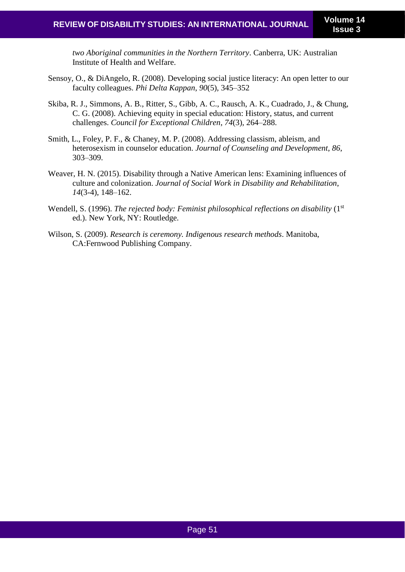*two Aboriginal communities in the Northern Territory*. Canberra, UK: Australian Institute of Health and Welfare.

- Sensoy, O., & DiAngelo, R. (2008). Developing social justice literacy: An open letter to our faculty colleagues. *Phi Delta Kappan*, *90*(5), 345–352
- Skiba, R. J., Simmons, A. B., Ritter, S., Gibb, A. C., Rausch, A. K., Cuadrado, J., & Chung, C. G. (2008). Achieving equity in special education: History, status, and current challenges. *Council for Exceptional Children*, *74*(3), 264–288.
- Smith, L., Foley, P. F., & Chaney, M. P. (2008). Addressing classism, ableism, and heterosexism in counselor education. *Journal of Counseling and Development*, *86*, 303–309.
- Weaver, H. N. (2015). Disability through a Native American lens: Examining influences of culture and colonization. *Journal of Social Work in Disability and Rehabilitation*, *14*(3-4), 148–162.
- Wendell, S. (1996). *The rejected body: Feminist philosophical reflections on disability* (1st) ed.). New York, NY: Routledge.
- Wilson, S. (2009). *Research is ceremony. Indigenous research methods*. Manitoba, CA:Fernwood Publishing Company.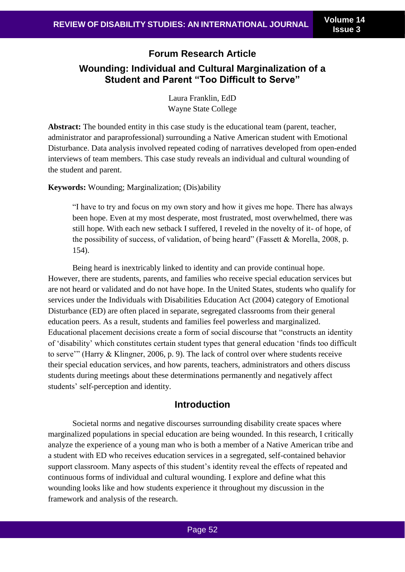# **Forum Research Article Wounding: Individual and Cultural Marginalization of a Student and Parent "Too Difficult to Serve"**

Laura Franklin, EdD Wayne State College

**Abstract:** The bounded entity in this case study is the educational team (parent, teacher, administrator and paraprofessional) surrounding a Native American student with Emotional Disturbance. Data analysis involved repeated coding of narratives developed from open-ended interviews of team members. This case study reveals an individual and cultural wounding of the student and parent.

**Keywords:** Wounding; Marginalization; (Dis)ability

"I have to try and focus on my own story and how it gives me hope. There has always been hope. Even at my most desperate, most frustrated, most overwhelmed, there was still hope. With each new setback I suffered, I reveled in the novelty of it- of hope, of the possibility of success, of validation, of being heard" (Fassett & Morella, 2008, p. 154).

Being heard is inextricably linked to identity and can provide continual hope. However, there are students, parents, and families who receive special education services but are not heard or validated and do not have hope. In the United States, students who qualify for services under the Individuals with Disabilities Education Act (2004) category of Emotional Disturbance (ED) are often placed in separate, segregated classrooms from their general education peers. As a result, students and families feel powerless and marginalized. Educational placement decisions create a form of social discourse that "constructs an identity of 'disability' which constitutes certain student types that general education 'finds too difficult to serve'" (Harry & Klingner, 2006, p. 9). The lack of control over where students receive their special education services, and how parents, teachers, administrators and others discuss students during meetings about these determinations permanently and negatively affect students' self-perception and identity.

## **Introduction**

Societal norms and negative discourses surrounding disability create spaces where marginalized populations in special education are being wounded. In this research, I critically analyze the experience of a young man who is both a member of a Native American tribe and a student with ED who receives education services in a segregated, self-contained behavior support classroom. Many aspects of this student's identity reveal the effects of repeated and continuous forms of individual and cultural wounding. I explore and define what this wounding looks like and how students experience it throughout my discussion in the framework and analysis of the research.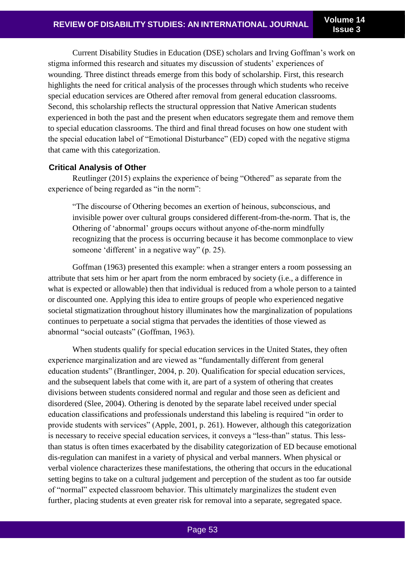Current Disability Studies in Education (DSE) scholars and Irving Goffman's work on stigma informed this research and situates my discussion of students' experiences of wounding. Three distinct threads emerge from this body of scholarship. First, this research highlights the need for critical analysis of the processes through which students who receive special education services are Othered after removal from general education classrooms. Second, this scholarship reflects the structural oppression that Native American students experienced in both the past and the present when educators segregate them and remove them to special education classrooms. The third and final thread focuses on how one student with the special education label of "Emotional Disturbance" (ED) coped with the negative stigma that came with this categorization.

#### **Critical Analysis of Other**

Reutlinger (2015) explains the experience of being "Othered" as separate from the experience of being regarded as "in the norm":

"The discourse of Othering becomes an exertion of heinous, subconscious, and invisible power over cultural groups considered different-from-the-norm. That is, the Othering of 'abnormal' groups occurs without anyone of-the-norm mindfully recognizing that the process is occurring because it has become commonplace to view someone 'different' in a negative way" (p. 25).

Goffman (1963) presented this example: when a stranger enters a room possessing an attribute that sets him or her apart from the norm embraced by society (i.e., a difference in what is expected or allowable) then that individual is reduced from a whole person to a tainted or discounted one. Applying this idea to entire groups of people who experienced negative societal stigmatization throughout history illuminates how the marginalization of populations continues to perpetuate a social stigma that pervades the identities of those viewed as abnormal "social outcasts" (Goffman, 1963).

When students qualify for special education services in the United States, they often experience marginalization and are viewed as "fundamentally different from general education students" (Brantlinger, 2004, p. 20). Qualification for special education services, and the subsequent labels that come with it, are part of a system of othering that creates divisions between students considered normal and regular and those seen as deficient and disordered (Slee, 2004). Othering is denoted by the separate label received under special education classifications and professionals understand this labeling is required "in order to provide students with services" (Apple, 2001, p. 261). However, although this categorization is necessary to receive special education services, it conveys a "less-than" status. This lessthan status is often times exacerbated by the disability categorization of ED because emotional dis-regulation can manifest in a variety of physical and verbal manners. When physical or verbal violence characterizes these manifestations, the othering that occurs in the educational setting begins to take on a cultural judgement and perception of the student as too far outside of "normal" expected classroom behavior. This ultimately marginalizes the student even further, placing students at even greater risk for removal into a separate, segregated space.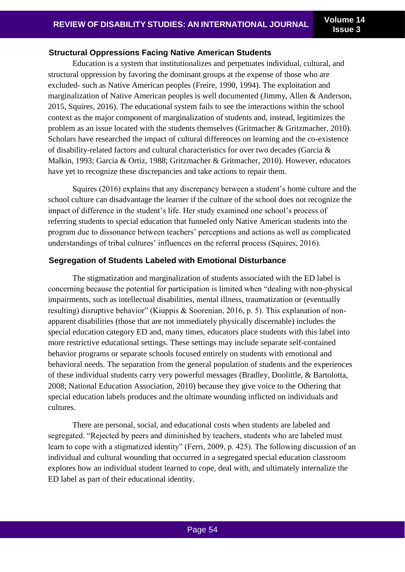#### **Structural Oppressions Facing Native American Students**

Education is a system that institutionalizes and perpetuates individual, cultural, and structural oppression by favoring the dominant groups at the expense of those who are excluded- such as Native American peoples (Freire, 1990, 1994). The exploitation and marginalization of Native American peoples is well documented (Jimmy, Allen & Anderson, 2015, Squires, 2016). The educational system fails to see the interactions within the school context as the major component of marginalization of students and, instead, legitimizes the problem as an issue located with the students themselves (Gritmacher & Gritzmacher, 2010). Scholars have researched the impact of cultural differences on learning and the co-existence of disability-related factors and cultural characteristics for over two decades (Garcia & Malkin, 1993; Garcia & Ortiz, 1988; Gritzmacher & Gritmacher, 2010). However, educators have yet to recognize these discrepancies and take actions to repair them.

Squires (2016) explains that any discrepancy between a student's home culture and the school culture can disadvantage the learner if the culture of the school does not recognize the impact of difference in the student's life. Her study examined one school's process of referring students to special education that funneled only Native American students into the program due to dissonance between teachers' perceptions and actions as well as complicated understandings of tribal cultures' influences on the referral process (Squires, 2016).

#### **Segregation of Students Labeled with Emotional Disturbance**

The stigmatization and marginalization of students associated with the ED label is concerning because the potential for participation is limited when "dealing with non-physical impairments, such as intellectual disabilities, mental illness, traumatization or (eventually resulting) disruptive behavior" (Kiuppis & Soorenian, 2016, p. 5). This explanation of nonapparent disabilities (those that are not immediately physically discernable) includes the special education category ED and, many times, educators place students with this label into more restrictive educational settings. These settings may include separate self-contained behavior programs or separate schools focused entirely on students with emotional and behavioral needs. The separation from the general population of students and the experiences of these individual students carry very powerful messages (Bradley, Doolittle, & Bartolotta, 2008; National Education Association, 2010) because they give voice to the Othering that special education labels produces and the ultimate wounding inflicted on individuals and cultures.

There are personal, social, and educational costs when students are labeled and segregated. "Rejected by peers and diminished by teachers, students who are labeled must learn to cope with a stigmatized identity" (Ferri, 2009, p. 425). The following discussion of an individual and cultural wounding that occurred in a segregated special education classroom explores how an individual student learned to cope, deal with, and ultimately internalize the ED label as part of their educational identity.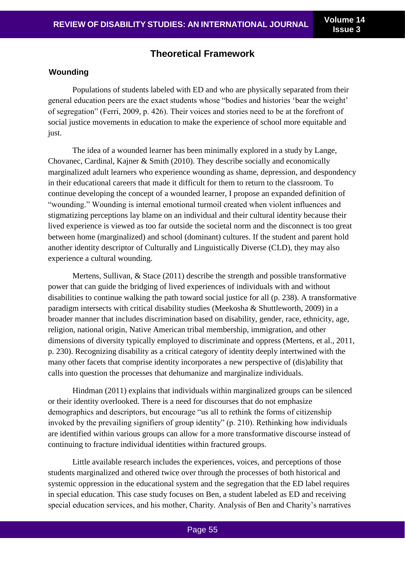# **Theoretical Framework**

#### **Wounding**

Populations of students labeled with ED and who are physically separated from their general education peers are the exact students whose "bodies and histories 'bear the weight' of segregation" (Ferri, 2009, p. 426). Their voices and stories need to be at the forefront of social justice movements in education to make the experience of school more equitable and just.

The idea of a wounded learner has been minimally explored in a study by Lange, Chovanec, Cardinal, Kajner & Smith (2010). They describe socially and economically marginalized adult learners who experience wounding as shame, depression, and despondency in their educational careers that made it difficult for them to return to the classroom. To continue developing the concept of a wounded learner, I propose an expanded definition of "wounding." Wounding is internal emotional turmoil created when violent influences and stigmatizing perceptions lay blame on an individual and their cultural identity because their lived experience is viewed as too far outside the societal norm and the disconnect is too great between home (marginalized) and school (dominant) cultures. If the student and parent hold another identity descriptor of Culturally and Linguistically Diverse (CLD), they may also experience a cultural wounding.

Mertens, Sullivan, & Stace (2011) describe the strength and possible transformative power that can guide the bridging of lived experiences of individuals with and without disabilities to continue walking the path toward social justice for all (p. 238). A transformative paradigm intersects with critical disability studies (Meekosha & Shuttleworth, 2009) in a broader manner that includes discrimination based on disability, gender, race, ethnicity, age, religion, national origin, Native American tribal membership, immigration, and other dimensions of diversity typically employed to discriminate and oppress (Mertens, et al., 2011, p. 230). Recognizing disability as a critical category of identity deeply intertwined with the many other facets that comprise identity incorporates a new perspective of (dis)ability that calls into question the processes that dehumanize and marginalize individuals.

Hindman (2011) explains that individuals within marginalized groups can be silenced or their identity overlooked. There is a need for discourses that do not emphasize demographics and descriptors, but encourage "us all to rethink the forms of citizenship invoked by the prevailing signifiers of group identity" (p. 210). Rethinking how individuals are identified within various groups can allow for a more transformative discourse instead of continuing to fracture individual identities within fractured groups.

Little available research includes the experiences, voices, and perceptions of those students marginalized and othered twice over through the processes of both historical and systemic oppression in the educational system and the segregation that the ED label requires in special education. This case study focuses on Ben, a student labeled as ED and receiving special education services, and his mother, Charity. Analysis of Ben and Charity's narratives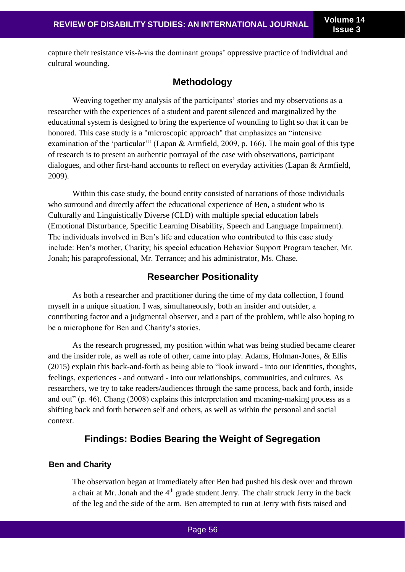capture their resistance vis-à-vis the dominant groups' oppressive practice of individual and cultural wounding.

# **Methodology**

Weaving together my analysis of the participants' stories and my observations as a researcher with the experiences of a student and parent silenced and marginalized by the educational system is designed to bring the experience of wounding to light so that it can be honored. This case study is a "microscopic approach" that emphasizes an "intensive examination of the 'particular'" (Lapan & Armfield, 2009, p. 166). The main goal of this type of research is to present an authentic portrayal of the case with observations, participant dialogues, and other first-hand accounts to reflect on everyday activities (Lapan & Armfield, 2009).

Within this case study, the bound entity consisted of narrations of those individuals who surround and directly affect the educational experience of Ben, a student who is Culturally and Linguistically Diverse (CLD) with multiple special education labels (Emotional Disturbance, Specific Learning Disability, Speech and Language Impairment). The individuals involved in Ben's life and education who contributed to this case study include: Ben's mother, Charity; his special education Behavior Support Program teacher, Mr. Jonah; his paraprofessional, Mr. Terrance; and his administrator, Ms. Chase.

# **Researcher Positionality**

As both a researcher and practitioner during the time of my data collection, I found myself in a unique situation. I was, simultaneously, both an insider and outsider, a contributing factor and a judgmental observer, and a part of the problem, while also hoping to be a microphone for Ben and Charity's stories.

As the research progressed, my position within what was being studied became clearer and the insider role, as well as role of other, came into play. Adams, Holman-Jones, & Ellis (2015) explain this back-and-forth as being able to "look inward - into our identities, thoughts, feelings, experiences - and outward - into our relationships, communities, and cultures. As researchers, we try to take readers/audiences through the same process, back and forth, inside and out" (p. 46). Chang (2008) explains this interpretation and meaning-making process as a shifting back and forth between self and others, as well as within the personal and social context.

# **Findings: Bodies Bearing the Weight of Segregation**

## **Ben and Charity**

The observation began at immediately after Ben had pushed his desk over and thrown a chair at Mr. Jonah and the 4<sup>th</sup> grade student Jerry. The chair struck Jerry in the back of the leg and the side of the arm. Ben attempted to run at Jerry with fists raised and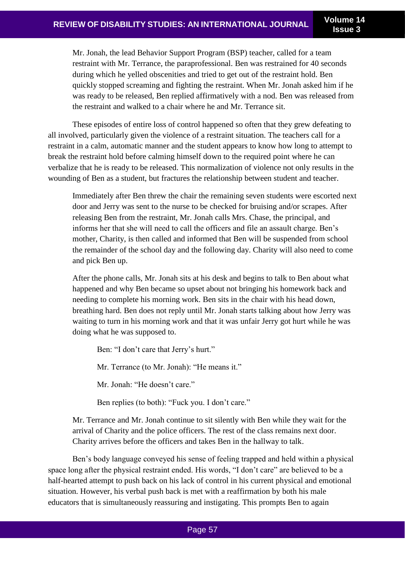Mr. Jonah, the lead Behavior Support Program (BSP) teacher, called for a team restraint with Mr. Terrance, the paraprofessional. Ben was restrained for 40 seconds during which he yelled obscenities and tried to get out of the restraint hold. Ben quickly stopped screaming and fighting the restraint. When Mr. Jonah asked him if he was ready to be released, Ben replied affirmatively with a nod. Ben was released from the restraint and walked to a chair where he and Mr. Terrance sit.

These episodes of entire loss of control happened so often that they grew defeating to all involved, particularly given the violence of a restraint situation. The teachers call for a restraint in a calm, automatic manner and the student appears to know how long to attempt to break the restraint hold before calming himself down to the required point where he can verbalize that he is ready to be released. This normalization of violence not only results in the wounding of Ben as a student, but fractures the relationship between student and teacher.

Immediately after Ben threw the chair the remaining seven students were escorted next door and Jerry was sent to the nurse to be checked for bruising and/or scrapes. After releasing Ben from the restraint, Mr. Jonah calls Mrs. Chase, the principal, and informs her that she will need to call the officers and file an assault charge. Ben's mother, Charity, is then called and informed that Ben will be suspended from school the remainder of the school day and the following day. Charity will also need to come and pick Ben up.

After the phone calls, Mr. Jonah sits at his desk and begins to talk to Ben about what happened and why Ben became so upset about not bringing his homework back and needing to complete his morning work. Ben sits in the chair with his head down, breathing hard. Ben does not reply until Mr. Jonah starts talking about how Jerry was waiting to turn in his morning work and that it was unfair Jerry got hurt while he was doing what he was supposed to.

Ben: "I don't care that Jerry's hurt." Mr. Terrance (to Mr. Jonah): "He means it." Mr. Jonah: "He doesn't care."

Ben replies (to both): "Fuck you. I don't care."

Mr. Terrance and Mr. Jonah continue to sit silently with Ben while they wait for the arrival of Charity and the police officers. The rest of the class remains next door. Charity arrives before the officers and takes Ben in the hallway to talk.

Ben's body language conveyed his sense of feeling trapped and held within a physical space long after the physical restraint ended. His words, "I don't care" are believed to be a half-hearted attempt to push back on his lack of control in his current physical and emotional situation. However, his verbal push back is met with a reaffirmation by both his male educators that is simultaneously reassuring and instigating. This prompts Ben to again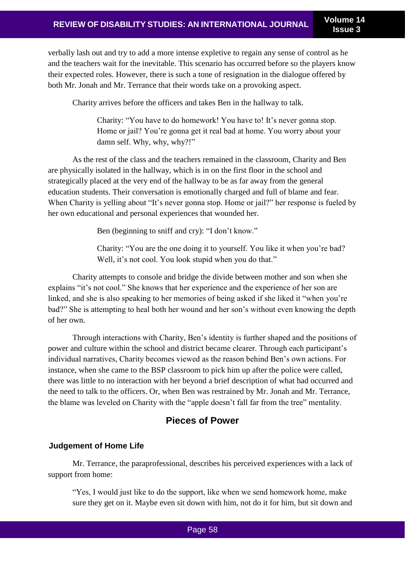verbally lash out and try to add a more intense expletive to regain any sense of control as he and the teachers wait for the inevitable. This scenario has occurred before so the players know their expected roles. However, there is such a tone of resignation in the dialogue offered by both Mr. Jonah and Mr. Terrance that their words take on a provoking aspect.

Charity arrives before the officers and takes Ben in the hallway to talk.

Charity: "You have to do homework! You have to! It's never gonna stop. Home or jail? You're gonna get it real bad at home. You worry about your damn self. Why, why, why?!"

As the rest of the class and the teachers remained in the classroom, Charity and Ben are physically isolated in the hallway, which is in on the first floor in the school and strategically placed at the very end of the hallway to be as far away from the general education students. Their conversation is emotionally charged and full of blame and fear. When Charity is yelling about "It's never gonna stop. Home or jail?" her response is fueled by her own educational and personal experiences that wounded her.

Ben (beginning to sniff and cry): "I don't know."

Charity: "You are the one doing it to yourself. You like it when you're bad? Well, it's not cool. You look stupid when you do that."

Charity attempts to console and bridge the divide between mother and son when she explains "it's not cool." She knows that her experience and the experience of her son are linked, and she is also speaking to her memories of being asked if she liked it "when you're bad?" She is attempting to heal both her wound and her son's without even knowing the depth of her own.

Through interactions with Charity, Ben's identity is further shaped and the positions of power and culture within the school and district became clearer. Through each participant's individual narratives, Charity becomes viewed as the reason behind Ben's own actions. For instance, when she came to the BSP classroom to pick him up after the police were called, there was little to no interaction with her beyond a brief description of what had occurred and the need to talk to the officers. Or, when Ben was restrained by Mr. Jonah and Mr. Terrance, the blame was leveled on Charity with the "apple doesn't fall far from the tree" mentality.

# **Pieces of Power**

## **Judgement of Home Life**

Mr. Terrance, the paraprofessional, describes his perceived experiences with a lack of support from home:

"Yes, I would just like to do the support, like when we send homework home, make sure they get on it. Maybe even sit down with him, not do it for him, but sit down and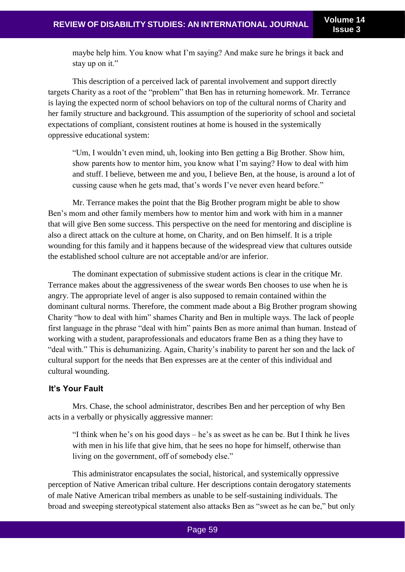maybe help him. You know what I'm saying? And make sure he brings it back and stay up on it."

This description of a perceived lack of parental involvement and support directly targets Charity as a root of the "problem" that Ben has in returning homework. Mr. Terrance is laying the expected norm of school behaviors on top of the cultural norms of Charity and her family structure and background. This assumption of the superiority of school and societal expectations of compliant, consistent routines at home is housed in the systemically oppressive educational system:

"Um, I wouldn't even mind, uh, looking into Ben getting a Big Brother. Show him, show parents how to mentor him, you know what I'm saying? How to deal with him and stuff. I believe, between me and you, I believe Ben, at the house, is around a lot of cussing cause when he gets mad, that's words I've never even heard before."

Mr. Terrance makes the point that the Big Brother program might be able to show Ben's mom and other family members how to mentor him and work with him in a manner that will give Ben some success. This perspective on the need for mentoring and discipline is also a direct attack on the culture at home, on Charity, and on Ben himself. It is a triple wounding for this family and it happens because of the widespread view that cultures outside the established school culture are not acceptable and/or are inferior.

The dominant expectation of submissive student actions is clear in the critique Mr. Terrance makes about the aggressiveness of the swear words Ben chooses to use when he is angry. The appropriate level of anger is also supposed to remain contained within the dominant cultural norms. Therefore, the comment made about a Big Brother program showing Charity "how to deal with him" shames Charity and Ben in multiple ways. The lack of people first language in the phrase "deal with him" paints Ben as more animal than human. Instead of working with a student, paraprofessionals and educators frame Ben as a thing they have to "deal with." This is dehumanizing. Again, Charity's inability to parent her son and the lack of cultural support for the needs that Ben expresses are at the center of this individual and cultural wounding.

## **It's Your Fault**

Mrs. Chase, the school administrator, describes Ben and her perception of why Ben acts in a verbally or physically aggressive manner:

"I think when he's on his good days – he's as sweet as he can be. But I think he lives with men in his life that give him, that he sees no hope for himself, otherwise than living on the government, off of somebody else."

This administrator encapsulates the social, historical, and systemically oppressive perception of Native American tribal culture. Her descriptions contain derogatory statements of male Native American tribal members as unable to be self-sustaining individuals. The broad and sweeping stereotypical statement also attacks Ben as "sweet as he can be," but only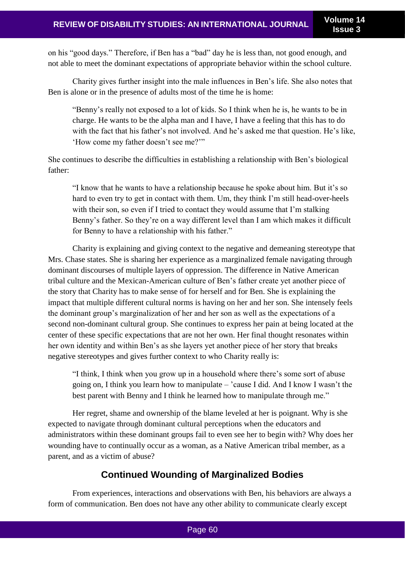on his "good days." Therefore, if Ben has a "bad" day he is less than, not good enough, and not able to meet the dominant expectations of appropriate behavior within the school culture.

Charity gives further insight into the male influences in Ben's life. She also notes that Ben is alone or in the presence of adults most of the time he is home:

"Benny's really not exposed to a lot of kids. So I think when he is, he wants to be in charge. He wants to be the alpha man and I have, I have a feeling that this has to do with the fact that his father's not involved. And he's asked me that question. He's like, 'How come my father doesn't see me?'"

She continues to describe the difficulties in establishing a relationship with Ben's biological father:

"I know that he wants to have a relationship because he spoke about him. But it's so hard to even try to get in contact with them. Um, they think I'm still head-over-heels with their son, so even if I tried to contact they would assume that I'm stalking Benny's father. So they're on a way different level than I am which makes it difficult for Benny to have a relationship with his father."

Charity is explaining and giving context to the negative and demeaning stereotype that Mrs. Chase states. She is sharing her experience as a marginalized female navigating through dominant discourses of multiple layers of oppression. The difference in Native American tribal culture and the Mexican-American culture of Ben's father create yet another piece of the story that Charity has to make sense of for herself and for Ben. She is explaining the impact that multiple different cultural norms is having on her and her son. She intensely feels the dominant group's marginalization of her and her son as well as the expectations of a second non-dominant cultural group. She continues to express her pain at being located at the center of these specific expectations that are not her own. Her final thought resonates within her own identity and within Ben's as she layers yet another piece of her story that breaks negative stereotypes and gives further context to who Charity really is:

"I think, I think when you grow up in a household where there's some sort of abuse going on, I think you learn how to manipulate – 'cause I did. And I know I wasn't the best parent with Benny and I think he learned how to manipulate through me."

Her regret, shame and ownership of the blame leveled at her is poignant. Why is she expected to navigate through dominant cultural perceptions when the educators and administrators within these dominant groups fail to even see her to begin with? Why does her wounding have to continually occur as a woman, as a Native American tribal member, as a parent, and as a victim of abuse?

# **Continued Wounding of Marginalized Bodies**

From experiences, interactions and observations with Ben, his behaviors are always a form of communication. Ben does not have any other ability to communicate clearly except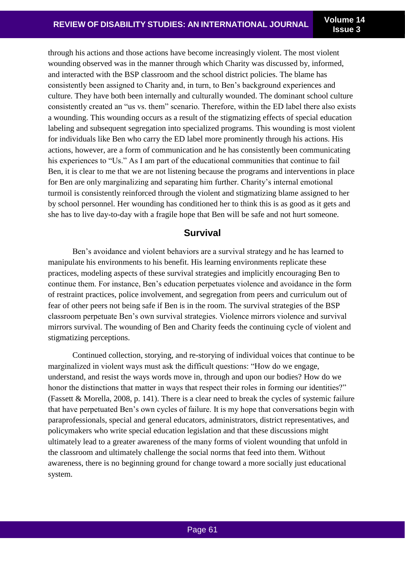through his actions and those actions have become increasingly violent. The most violent wounding observed was in the manner through which Charity was discussed by, informed, and interacted with the BSP classroom and the school district policies. The blame has consistently been assigned to Charity and, in turn, to Ben's background experiences and culture. They have both been internally and culturally wounded. The dominant school culture consistently created an "us vs. them" scenario. Therefore, within the ED label there also exists a wounding. This wounding occurs as a result of the stigmatizing effects of special education labeling and subsequent segregation into specialized programs. This wounding is most violent for individuals like Ben who carry the ED label more prominently through his actions. His actions, however, are a form of communication and he has consistently been communicating his experiences to "Us." As I am part of the educational communities that continue to fail Ben, it is clear to me that we are not listening because the programs and interventions in place for Ben are only marginalizing and separating him further. Charity's internal emotional turmoil is consistently reinforced through the violent and stigmatizing blame assigned to her by school personnel. Her wounding has conditioned her to think this is as good as it gets and she has to live day-to-day with a fragile hope that Ben will be safe and not hurt someone.

## **Survival**

Ben's avoidance and violent behaviors are a survival strategy and he has learned to manipulate his environments to his benefit. His learning environments replicate these practices, modeling aspects of these survival strategies and implicitly encouraging Ben to continue them. For instance, Ben's education perpetuates violence and avoidance in the form of restraint practices, police involvement, and segregation from peers and curriculum out of fear of other peers not being safe if Ben is in the room. The survival strategies of the BSP classroom perpetuate Ben's own survival strategies. Violence mirrors violence and survival mirrors survival. The wounding of Ben and Charity feeds the continuing cycle of violent and stigmatizing perceptions.

Continued collection, storying, and re-storying of individual voices that continue to be marginalized in violent ways must ask the difficult questions: "How do we engage, understand, and resist the ways words move in, through and upon our bodies? How do we honor the distinctions that matter in ways that respect their roles in forming our identities?" (Fassett & Morella, 2008, p. 141). There is a clear need to break the cycles of systemic failure that have perpetuated Ben's own cycles of failure. It is my hope that conversations begin with paraprofessionals, special and general educators, administrators, district representatives, and policymakers who write special education legislation and that these discussions might ultimately lead to a greater awareness of the many forms of violent wounding that unfold in the classroom and ultimately challenge the social norms that feed into them. Without awareness, there is no beginning ground for change toward a more socially just educational system.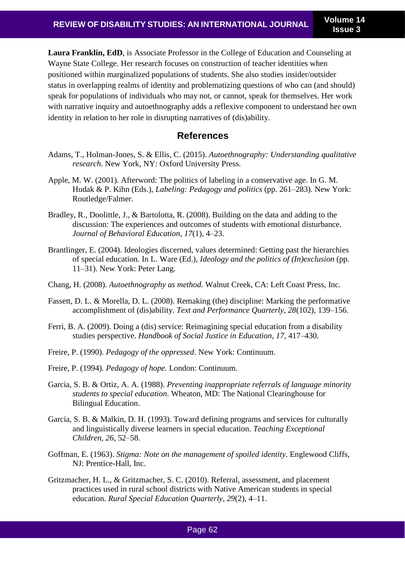**Laura Franklin, EdD**, is Associate Professor in the College of Education and Counseling at Wayne State College. Her research focuses on construction of teacher identities when positioned within marginalized populations of students. She also studies insider/outsider status in overlapping realms of identity and problematizing questions of who can (and should) speak for populations of individuals who may not, or cannot, speak for themselves. Her work with narrative inquiry and autoethnography adds a reflexive component to understand her own identity in relation to her role in disrupting narratives of (dis)ability.

## **References**

- Adams, T., Holman-Jones, S. & Ellis, C. (2015). *Autoethnography: Understanding qualitative research*. New York, NY: Oxford University Press.
- Apple, M. W. (2001). Afterword: The politics of labeling in a conservative age. In G. M. Hudak & P. Kihn (Eds.), *Labeling: Pedagogy and politics* (pp. 261–283). New York: Routledge/Falmer.
- Bradley, R., Doolittle, J., & Bartolotta, R. (2008). Building on the data and adding to the discussion: The experiences and outcomes of students with emotional disturbance. *Journal of Behavioral Education, 17*(1), 4–23.
- Brantlinger, E. (2004). Ideologies discerned, values determined: Getting past the hierarchies of special education. In L. Ware (Ed.), *Ideology and the politics of (In)exclusion* (pp. 11–31). New York: Peter Lang.
- Chang, H. (2008). *Autoethnography as method.* Walnut Creek, CA: Left Coast Press, Inc.
- Fassett, D. L. & Morella, D. L. (2008). Remaking (the) discipline: Marking the performative accomplishment of (dis)ability. *Text and Performance Quarterly, 28*(102), 139–156.
- Ferri, B. A. (2009). Doing a (dis) service: Reimagining special education from a disability studies perspective. *Handbook of Social Justice in Education*, *17*, 417–430.
- Freire, P. (1990). *Pedagogy of the oppressed*. New York: Continuum.
- Freire, P. (1994). *Pedagogy of hope.* London: Continuum.
- Garcia, S. B. & Ortiz, A. A. (1988). *Preventing inappropriate referrals of language minority students to special education*. Wheaton, MD: The National Clearinghouse for Bilingual Education.
- Garcia, S. B. & Malkin, D. H. (1993). Toward defining programs and services for culturally and linguistically diverse learners in special education. *Teaching Exceptional Children, 26*, 52–58.
- Goffman, E. (1963). *Stigma: Note on the management of spoiled identity*. Englewood Cliffs, NJ: Prentice-Hall, Inc.
- Gritzmacher, H. L., & Gritzmacher, S. C. (2010). Referral, assessment, and placement practices used in rural school districts with Native American students in special education. *Rural Special Education Quarterly*, *29*(2), 4–11.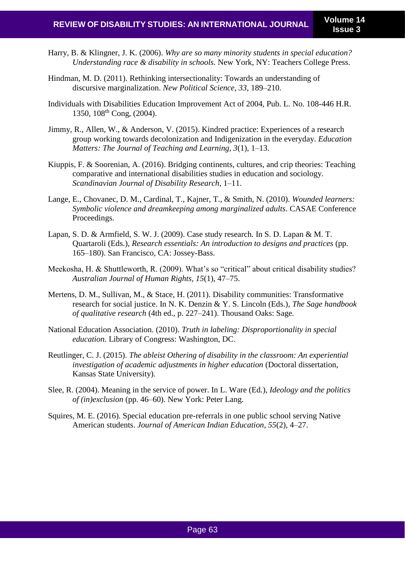- Harry, B. & Klingner, J. K. (2006). *Why are so many minority students in special education? Understanding race & disability in schools.* New York, NY: Teachers College Press.
- Hindman, M. D. (2011). Rethinking intersectionality: Towards an understanding of discursive marginalization. *New Political Science, 33*, 189–210.
- Individuals with Disabilities Education Improvement Act of 2004, Pub. L. No. 108-446 H.R. 1350,  $108^{th}$  Cong,  $(2004)$ .
- Jimmy, R., Allen, W., & Anderson, V. (2015). Kindred practice: Experiences of a research group working towards decolonization and Indigenization in the everyday. *Education Matters: The Journal of Teaching and Learning, 3*(1), 1–13.
- Kiuppis, F. & Soorenian, A. (2016). Bridging continents, cultures, and crip theories: Teaching comparative and international disabilities studies in education and sociology. *Scandinavian Journal of Disability Research*, 1–11.
- Lange, E., Chovanec, D. M., Cardinal, T., Kajner, T., & Smith, N. (2010). *Wounded learners: Symbolic violence and dreamkeeping among marginalized adults*. CASAE Conference Proceedings.
- Lapan, S. D. & Armfield, S. W. J. (2009). Case study research. In S. D. Lapan & M. T. Quartaroli (Eds.), *Research essentials: An introduction to designs and practices* (pp. 165–180). San Francisco, CA: Jossey-Bass.
- Meekosha, H. & Shuttleworth, R. (2009). What's so "critical" about critical disability studies? *Australian Journal of Human Rights, 15*(1), 47–75.
- Mertens, D. M., Sullivan, M., & Stace, H. (2011). Disability communities: Transformative research for social justice. In N. K. Denzin & Y. S. Lincoln (Eds.), *The Sage handbook of qualitative research* (4th ed., p. 227–241). Thousand Oaks: Sage.
- National Education Association. (2010). *Truth in labeling: Disproportionality in special education.* Library of Congress: Washington, DC.
- Reutlinger, C. J. (2015). *The ableist Othering of disability in the classroom: An experiential investigation of academic adjustments in higher education* (Doctoral dissertation, Kansas State University).
- Slee, R. (2004). Meaning in the service of power. In L. Ware (Ed.), *Ideology and the politics of (in)exclusion* (pp. 46–60). New York: Peter Lang.
- Squires, M. E. (2016). Special education pre-referrals in one public school serving Native American students. *Journal of American Indian Education*, *55*(2), 4–27.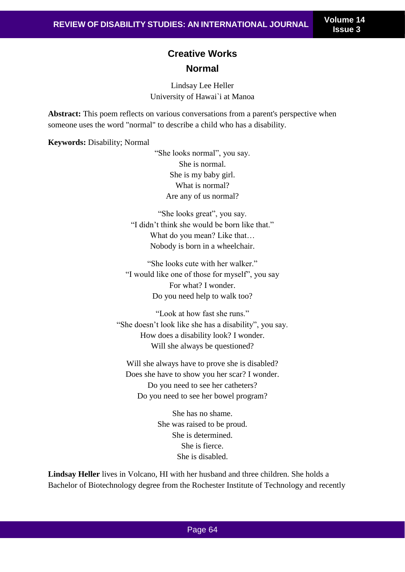# **Creative Works Normal**

Lindsay Lee Heller University of Hawai`i at Manoa

**Abstract:** This poem reflects on various conversations from a parent's perspective when someone uses the word "normal" to describe a child who has a disability.

**Keywords:** Disability; Normal

"She looks normal", you say. She is normal. She is my baby girl. What is normal? Are any of us normal?

"She looks great", you say. "I didn't think she would be born like that." What do you mean? Like that… Nobody is born in a wheelchair.

"She looks cute with her walker." "I would like one of those for myself", you say For what? I wonder. Do you need help to walk too?

"Look at how fast she runs." "She doesn't look like she has a disability", you say. How does a disability look? I wonder. Will she always be questioned?

Will she always have to prove she is disabled? Does she have to show you her scar? I wonder. Do you need to see her catheters? Do you need to see her bowel program?

> She has no shame. She was raised to be proud. She is determined. She is fierce. She is disabled.

**Lindsay Heller** lives in Volcano, HI with her husband and three children. She holds a Bachelor of Biotechnology degree from the Rochester Institute of Technology and recently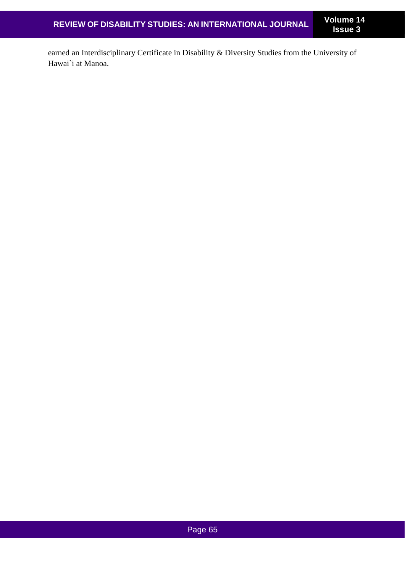earned an Interdisciplinary Certificate in Disability & Diversity Studies from the University of Hawai`i at Manoa.